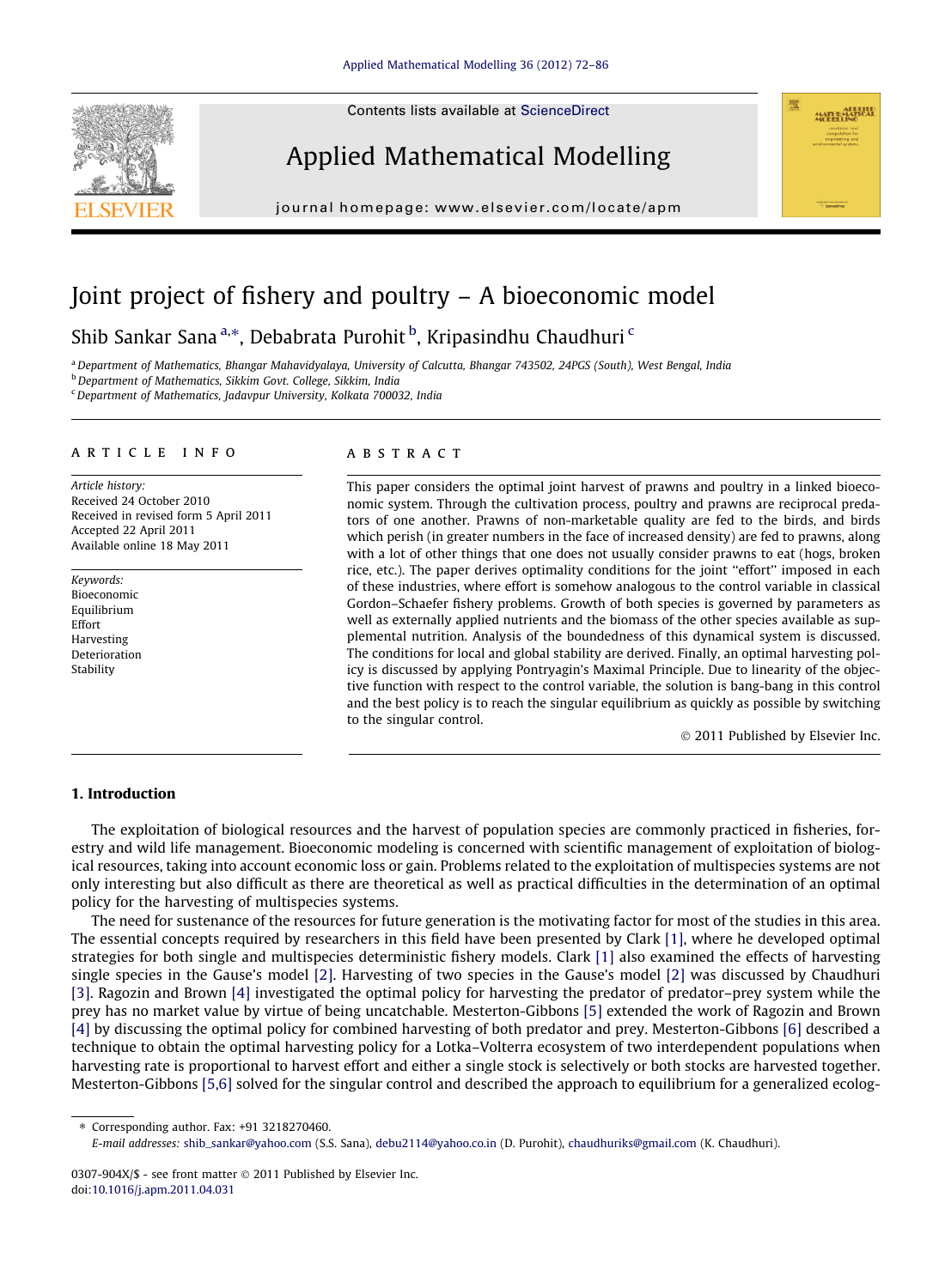Contents lists available at [ScienceDirect](http://www.sciencedirect.com/science/journal/0307904X)



Applied Mathematical Modelling

journal homepage: [www.elsevier.com/locate/apm](http://www.elsevier.com/locate/apm)

# Joint project of fishery and poultry – A bioeconomic model

## Shib Sankar Sana<sup>a,</sup>\*, Debabrata Purohit <sup>b</sup>, Kripasindhu Chaudhuri <sup>c</sup>

a Department of Mathematics, Bhangar Mahavidyalaya, University of Calcutta, Bhangar 743502, 24PGS (South), West Bengal, India

**b** Department of Mathematics, Sikkim Govt. College, Sikkim, India

 $\epsilon$ Department of Mathematics, Jadavpur University, Kolkata 700032, India

#### article info

Article history: Received 24 October 2010 Received in revised form 5 April 2011 Accepted 22 April 2011 Available online 18 May 2011

Keywords: Bioeconomic Equilibrium Effort Harvesting Deterioration Stability

## **ABSTRACT**

This paper considers the optimal joint harvest of prawns and poultry in a linked bioeconomic system. Through the cultivation process, poultry and prawns are reciprocal predators of one another. Prawns of non-marketable quality are fed to the birds, and birds which perish (in greater numbers in the face of increased density) are fed to prawns, along with a lot of other things that one does not usually consider prawns to eat (hogs, broken rice, etc.). The paper derives optimality conditions for the joint "effort" imposed in each of these industries, where effort is somehow analogous to the control variable in classical Gordon–Schaefer fishery problems. Growth of both species is governed by parameters as well as externally applied nutrients and the biomass of the other species available as supplemental nutrition. Analysis of the boundedness of this dynamical system is discussed. The conditions for local and global stability are derived. Finally, an optimal harvesting policy is discussed by applying Pontryagin's Maximal Principle. Due to linearity of the objective function with respect to the control variable, the solution is bang-bang in this control and the best policy is to reach the singular equilibrium as quickly as possible by switching to the singular control.

© 2011 Published by Elsevier Inc.

**MATLE APPLIED** 

## 1. Introduction

The exploitation of biological resources and the harvest of population species are commonly practiced in fisheries, forestry and wild life management. Bioeconomic modeling is concerned with scientific management of exploitation of biological resources, taking into account economic loss or gain. Problems related to the exploitation of multispecies systems are not only interesting but also difficult as there are theoretical as well as practical difficulties in the determination of an optimal policy for the harvesting of multispecies systems.

The need for sustenance of the resources for future generation is the motivating factor for most of the studies in this area. The essential concepts required by researchers in this field have been presented by Clark [\[1\],](#page-13-0) where he developed optimal strategies for both single and multispecies deterministic fishery models. Clark [\[1\]](#page-13-0) also examined the effects of harvesting single species in the Gause's model [\[2\].](#page-13-0) Harvesting of two species in the Gause's model [\[2\]](#page-13-0) was discussed by Chaudhuri [\[3\].](#page-13-0) Ragozin and Brown [\[4\]](#page-13-0) investigated the optimal policy for harvesting the predator of predator–prey system while the prey has no market value by virtue of being uncatchable. Mesterton-Gibbons [\[5\]](#page-13-0) extended the work of Ragozin and Brown [\[4\]](#page-13-0) by discussing the optimal policy for combined harvesting of both predator and prey. Mesterton-Gibbons [\[6\]](#page-13-0) described a technique to obtain the optimal harvesting policy for a Lotka–Volterra ecosystem of two interdependent populations when harvesting rate is proportional to harvest effort and either a single stock is selectively or both stocks are harvested together. Mesterton-Gibbons [\[5,6\]](#page-13-0) solved for the singular control and described the approach to equilibrium for a generalized ecolog-

⇑ Corresponding author. Fax: +91 3218270460.

E-mail addresses: [shib\\_sankar@yahoo.com](mailto:shib_sankar@yahoo.com) (S.S. Sana), [debu2114@yahoo.co.in](mailto:debu2114@yahoo.co.in) (D. Purohit), [chaudhuriks@gmail.com](mailto:chaudhuriks@gmail.com) (K. Chaudhuri).

<sup>0307-904</sup>X/\$ - see front matter © 2011 Published by Elsevier Inc. doi[:10.1016/j.apm.2011.04.031](http://dx.doi.org/10.1016/j.apm.2011.04.031)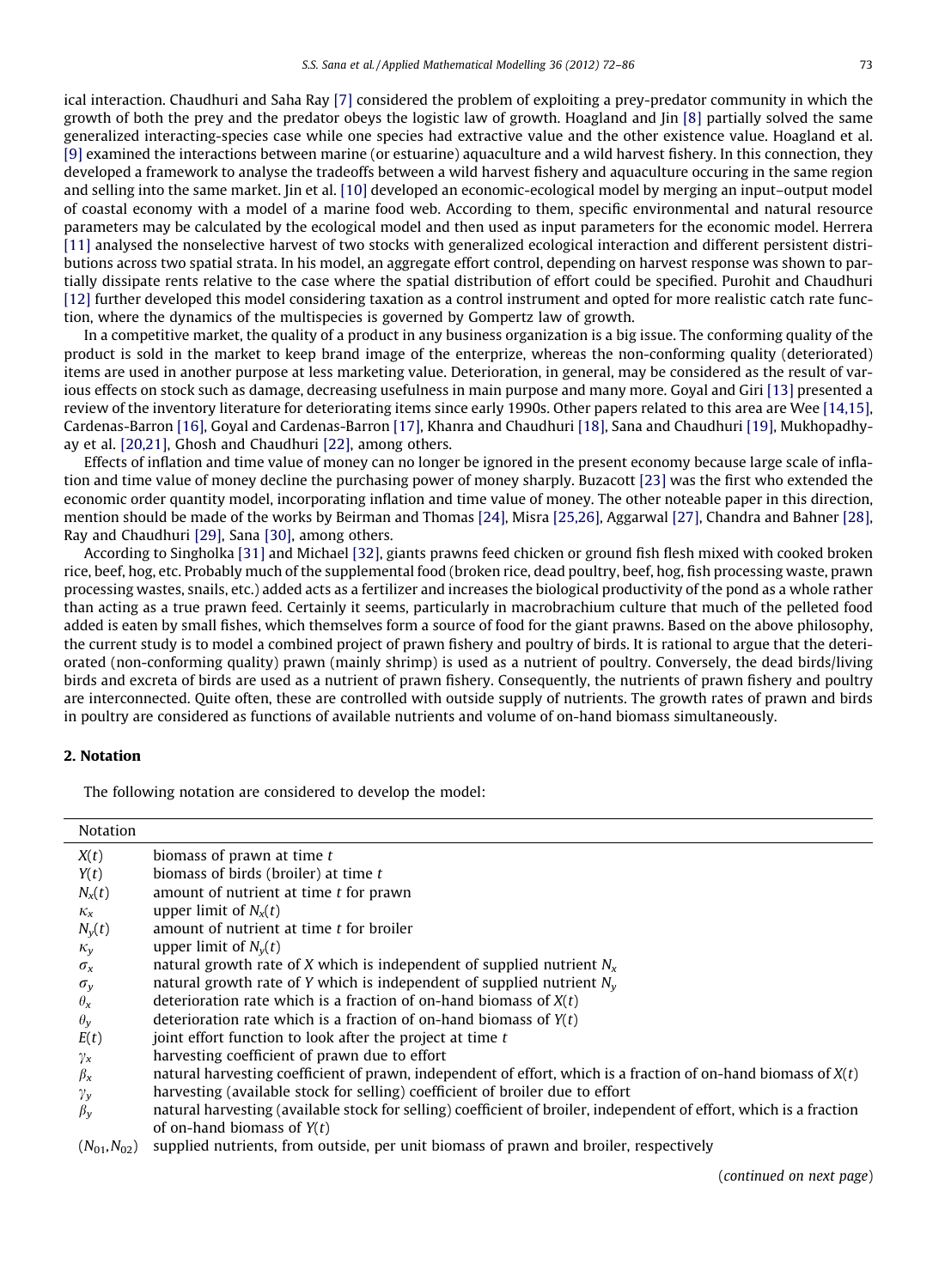ical interaction. Chaudhuri and Saha Ray [\[7\]](#page-13-0) considered the problem of exploiting a prey-predator community in which the growth of both the prey and the predator obeys the logistic law of growth. Hoagland and Jin [\[8\]](#page-13-0) partially solved the same generalized interacting-species case while one species had extractive value and the other existence value. Hoagland et al. [\[9\]](#page-13-0) examined the interactions between marine (or estuarine) aquaculture and a wild harvest fishery. In this connection, they developed a framework to analyse the tradeoffs between a wild harvest fishery and aquaculture occuring in the same region and selling into the same market. Jin et al. [\[10\]](#page-13-0) developed an economic-ecological model by merging an input–output model of coastal economy with a model of a marine food web. According to them, specific environmental and natural resource parameters may be calculated by the ecological model and then used as input parameters for the economic model. Herrera [\[11\]](#page-13-0) analysed the nonselective harvest of two stocks with generalized ecological interaction and different persistent distributions across two spatial strata. In his model, an aggregate effort control, depending on harvest response was shown to partially dissipate rents relative to the case where the spatial distribution of effort could be specified. Purohit and Chaudhuri [\[12\]](#page-13-0) further developed this model considering taxation as a control instrument and opted for more realistic catch rate function, where the dynamics of the multispecies is governed by Gompertz law of growth.

In a competitive market, the quality of a product in any business organization is a big issue. The conforming quality of the product is sold in the market to keep brand image of the enterprize, whereas the non-conforming quality (deteriorated) items are used in another purpose at less marketing value. Deterioration, in general, may be considered as the result of various effects on stock such as damage, decreasing usefulness in main purpose and many more. Goyal and Giri [\[13\]](#page-13-0) presented a review of the inventory literature for deteriorating items since early 1990s. Other papers related to this area are Wee [\[14,15\]](#page-13-0), Cardenas-Barron [\[16\],](#page-13-0) Goyal and Cardenas-Barron [\[17\]](#page-13-0), Khanra and Chaudhuri [\[18\],](#page-13-0) Sana and Chaudhuri [\[19\],](#page-13-0) Mukhopadhyay et al. [\[20,21\]](#page-13-0), Ghosh and Chaudhuri [\[22\],](#page-13-0) among others.

Effects of inflation and time value of money can no longer be ignored in the present economy because large scale of inflation and time value of money decline the purchasing power of money sharply. Buzacott [\[23\]](#page-13-0) was the first who extended the economic order quantity model, incorporating inflation and time value of money. The other noteable paper in this direction, mention should be made of the works by Beirman and Thomas [\[24\]](#page-13-0), Misra [\[25,26\],](#page-13-0) Aggarwal [\[27\],](#page-13-0) Chandra and Bahner [\[28\]](#page-14-0), Ray and Chaudhuri [\[29\],](#page-14-0) Sana [\[30\],](#page-14-0) among others.

According to Singholka [\[31\]](#page-14-0) and Michael [\[32\],](#page-14-0) giants prawns feed chicken or ground fish flesh mixed with cooked broken rice, beef, hog, etc. Probably much of the supplemental food (broken rice, dead poultry, beef, hog, fish processing waste, prawn processing wastes, snails, etc.) added acts as a fertilizer and increases the biological productivity of the pond as a whole rather than acting as a true prawn feed. Certainly it seems, particularly in macrobrachium culture that much of the pelleted food added is eaten by small fishes, which themselves form a source of food for the giant prawns. Based on the above philosophy, the current study is to model a combined project of prawn fishery and poultry of birds. It is rational to argue that the deteriorated (non-conforming quality) prawn (mainly shrimp) is used as a nutrient of poultry. Conversely, the dead birds/living birds and excreta of birds are used as a nutrient of prawn fishery. Consequently, the nutrients of prawn fishery and poultry are interconnected. Quite often, these are controlled with outside supply of nutrients. The growth rates of prawn and birds in poultry are considered as functions of available nutrients and volume of on-hand biomass simultaneously.

## 2. Notation

The following notation are considered to develop the model:

| Notation              |                                                                                                                                                                                                                                           |
|-----------------------|-------------------------------------------------------------------------------------------------------------------------------------------------------------------------------------------------------------------------------------------|
| X(t)                  | biomass of prawn at time t                                                                                                                                                                                                                |
| Y(t)                  | biomass of birds (broiler) at time t                                                                                                                                                                                                      |
| $N_x(t)$              | amount of nutrient at time t for prawn                                                                                                                                                                                                    |
| $\kappa_{\rm x}$      | upper limit of $N_{r}(t)$                                                                                                                                                                                                                 |
| $N_{y}(t)$            | amount of nutrient at time t for broiler                                                                                                                                                                                                  |
| $\kappa_{\rm v}$      | upper limit of $N_v(t)$                                                                                                                                                                                                                   |
| $\sigma_x$            | natural growth rate of X which is independent of supplied nutrient $N_x$                                                                                                                                                                  |
| $\sigma_v$            | natural growth rate of Y which is independent of supplied nutrient $N_v$                                                                                                                                                                  |
| $\theta_x$            | deterioration rate which is a fraction of on-hand biomass of $X(t)$                                                                                                                                                                       |
| $\theta_{\rm v}$      | deterioration rate which is a fraction of on-hand biomass of $Y(t)$                                                                                                                                                                       |
| E(t)                  | joint effort function to look after the project at time t                                                                                                                                                                                 |
| $\gamma_{\mathbf{x}}$ | harvesting coefficient of prawn due to effort                                                                                                                                                                                             |
| $\beta_{x}$           | natural harvesting coefficient of prawn, independent of effort, which is a fraction of on-hand biomass of $X(t)$                                                                                                                          |
| $\gamma_{y}$          | harvesting (available stock for selling) coefficient of broiler due to effort                                                                                                                                                             |
| $\beta_v$             | natural harvesting (available stock for selling) coefficient of broiler, independent of effort, which is a fraction                                                                                                                       |
|                       | of on-hand biomass of $Y(t)$                                                                                                                                                                                                              |
|                       | $\overline{A}$ and $\overline{A}$ are the contract of the contract of the contract of the contract of the contract of the contract of the contract of the contract of the contract of the contract of the contract of the contract of the |

 $(N_{01},N_{02})$  supplied nutrients, from outside, per unit biomass of prawn and broiler, respectively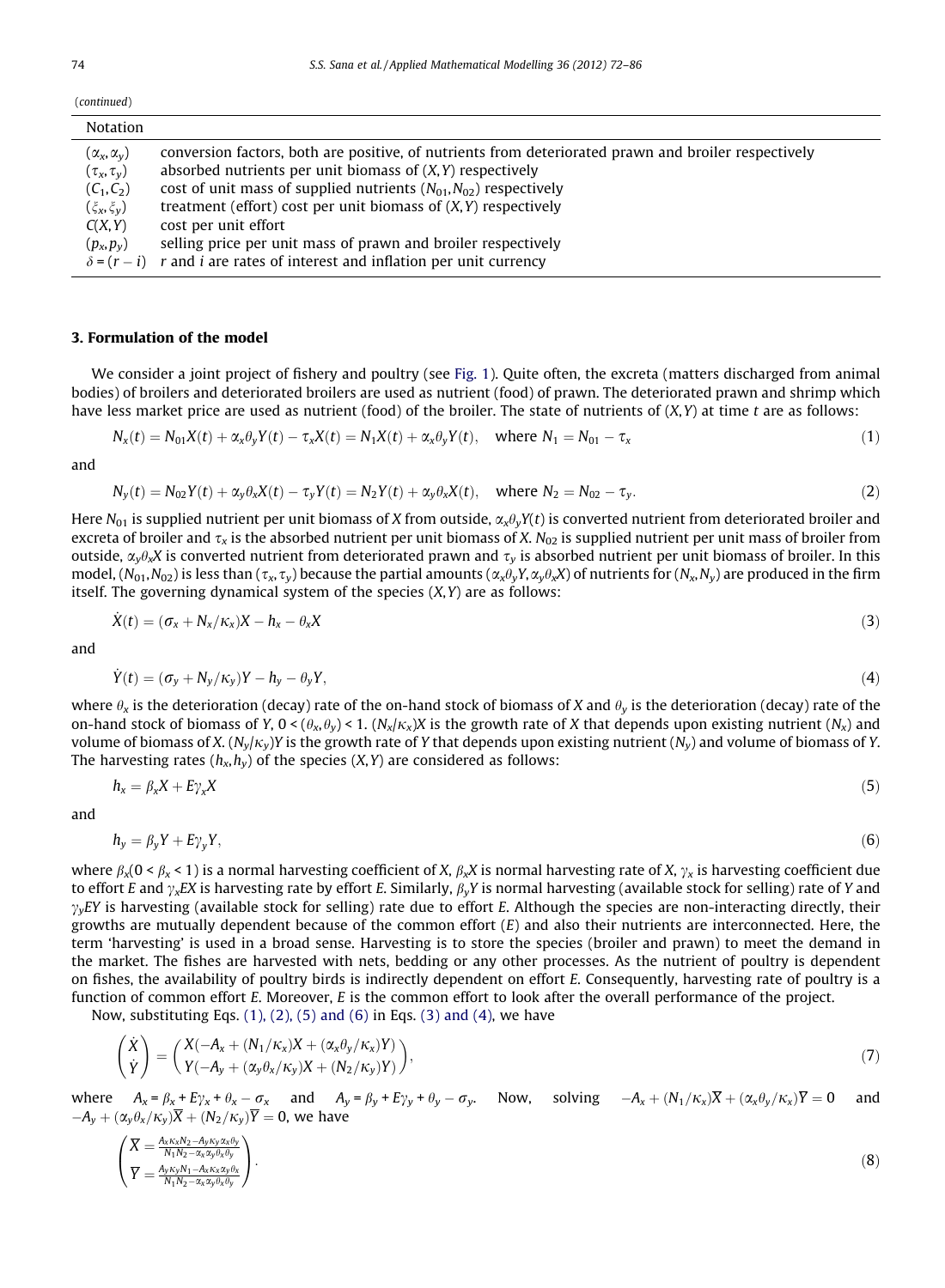<span id="page-2-0"></span>(continued)

| <b>Notation</b>       |                                                                                                      |
|-----------------------|------------------------------------------------------------------------------------------------------|
| $(\alpha_x,\alpha_y)$ | conversion factors, both are positive, of nutrients from deteriorated prawn and broiler respectively |
| $(\tau_x, \tau_y)$    | absorbed nutrients per unit biomass of $(X, Y)$ respectively                                         |
| $(C_1, C_2)$          | cost of unit mass of supplied nutrients $(N_{01}, N_{02})$ respectively                              |
| $(\xi_x, \xi_y)$      | treatment (effort) cost per unit biomass of $(X, Y)$ respectively                                    |
| C(X, Y)               | cost per unit effort                                                                                 |
| $(p_x, p_y)$          | selling price per unit mass of prawn and broiler respectively                                        |
| $\delta = (r - i)$    | <i>r</i> and <i>i</i> are rates of interest and inflation per unit currency                          |

## 3. Formulation of the model

We consider a joint project of fishery and poultry (see [Fig. 1](#page-3-0)). Quite often, the excreta (matters discharged from animal bodies) of broilers and deteriorated broilers are used as nutrient (food) of prawn. The deteriorated prawn and shrimp which have less market price are used as nutrient (food) of the broiler. The state of nutrients of  $(X, Y)$  at time t are as follows:

$$
N_x(t) = N_{01}X(t) + \alpha_x \theta_y Y(t) - \tau_x X(t) = N_1 X(t) + \alpha_x \theta_y Y(t), \quad \text{where } N_1 = N_{01} - \tau_x \tag{1}
$$

and

$$
N_y(t) = N_{02}Y(t) + \alpha_y \theta_x X(t) - \tau_y Y(t) = N_2 Y(t) + \alpha_y \theta_x X(t), \text{ where } N_2 = N_{02} - \tau_y.
$$
 (2)

Here  $N_{01}$  is supplied nutrient per unit biomass of X from outside,  $\alpha_x \theta_y Y(t)$  is converted nutrient from deteriorated broiler and excreta of broiler and  $\tau_x$  is the absorbed nutrient per unit biomass of X. N<sub>02</sub> is supplied nutrient per unit mass of broiler from outside,  $\alpha_v \theta_x X$  is converted nutrient from deteriorated prawn and  $\tau_v$  is absorbed nutrient per unit biomass of broiler. In this model,  $(N_{01},N_{02})$  is less than  $(\tau_x,\tau_y)$  because the partial amounts  $(\alpha_x\theta_yY,\alpha_y\theta_xX)$  of nutrients for  $(N_x,N_y)$  are produced in the firm itself. The governing dynamical system of the species (X,Y) are as follows:

$$
\dot{X}(t) = (\sigma_x + N_x/\kappa_x)X - h_x - \theta_x X \tag{3}
$$

and

$$
\dot{Y}(t) = (\sigma_y + N_y/\kappa_y)Y - h_y - \theta_yY,\tag{4}
$$

where  $\theta_x$  is the deterioration (decay) rate of the on-hand stock of biomass of X and  $\theta_y$  is the deterioration (decay) rate of the on-hand stock of biomass of Y,  $0 < (\theta_x, \theta_y) < 1$ . ( $N_x/\kappa_x$ )X is the growth rate of X that depends upon existing nutrient ( $N_x$ ) and volume of biomass of X.  $(N_y/\kappa_y)$ Y is the growth rate of Y that depends upon existing nutrient  $(N_y)$  and volume of biomass of Y. The harvesting rates  $(h_x, h_y)$  of the species  $(X, Y)$  are considered as follows:

$$
h_x = \beta_x X + E \gamma_x X \tag{5}
$$

and

$$
h_y = \beta_y Y + E \gamma_y Y,\tag{6}
$$

where  $\beta_x(0 \le \beta_x \le 1)$  is a normal harvesting coefficient of X,  $\beta_x X$  is normal harvesting rate of X,  $\gamma_x$  is harvesting coefficient due to effort E and  $\gamma_x EX$  is harvesting rate by effort E. Similarly,  $\beta_v Y$  is normal harvesting (available stock for selling) rate of Y and  $\gamma_\nu$ EY is harvesting (available stock for selling) rate due to effort E. Although the species are non-interacting directly, their growths are mutually dependent because of the common effort  $(E)$  and also their nutrients are interconnected. Here, the term 'harvesting' is used in a broad sense. Harvesting is to store the species (broiler and prawn) to meet the demand in the market. The fishes are harvested with nets, bedding or any other processes. As the nutrient of poultry is dependent on fishes, the availability of poultry birds is indirectly dependent on effort E. Consequently, harvesting rate of poultry is a function of common effort E. Moreover, E is the common effort to look after the overall performance of the project.

Now, substituting Eqs.  $(1)$ ,  $(2)$ ,  $(5)$  and  $(6)$  in Eqs.  $(3)$  and  $(4)$ , we have

$$
\begin{pmatrix}\n\dot{X} \\
\dot{Y}\n\end{pmatrix} = \begin{pmatrix}\nX(-A_x + (N_1/\kappa_x)X + (\alpha_x \theta_y/\kappa_x)Y) \\
Y(-A_y + (\alpha_y \theta_x/\kappa_y)X + (N_2/\kappa_y)Y)\n\end{pmatrix},
$$
\n(7)

where  $A_x = \beta_x + E\gamma_x + \theta_x - \sigma_x$  and  $A_y = \beta_y + E\gamma_y + \theta_y - \sigma_y$ . Now, solving – solving  $-A_x + (N_1/\kappa_x)\overline{X} + (\alpha_x\theta_y/\kappa_x)\overline{Y} = 0$  and  $-A_y+(\alpha_y\theta_x/\kappa_y)\overline{X}+(N_2/\kappa_y)\overline{Y}=0$ , we have

$$
\begin{pmatrix}\n\overline{X} = \frac{A_{x} \kappa_x N_2 - A_y \kappa_y \alpha_x \theta_y}{N_1 N_2 - \alpha_x \alpha_y \theta_x \theta_y} \\
\overline{Y} = \frac{A_y \kappa_y N_1 - A_x \kappa_x \alpha_y \theta_x}{N_1 N_2 - \alpha_x \alpha_y \theta_x \theta_y}\n\end{pmatrix}.
$$
\n(8)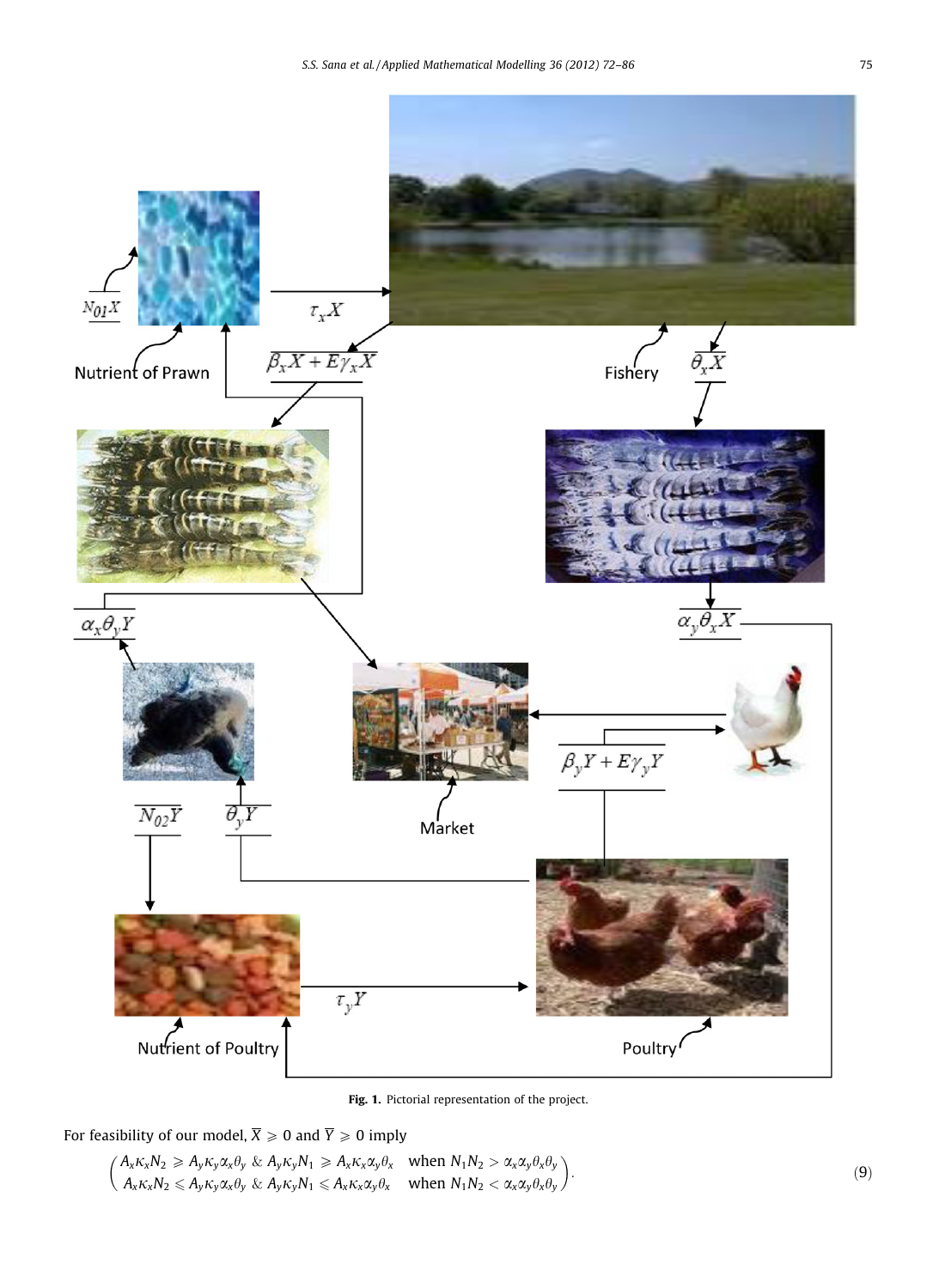<span id="page-3-0"></span>

Fig. 1. Pictorial representation of the project.

For feasibility of our model,  $\overline{X} \ge 0$  and  $\overline{Y} \ge 0$  imply

 $(A_xK_xN_2 \geq A_yK_y\alpha_x\theta_y \& A_yK_yN_1 \geq A_xK_x\alpha_y\theta_x$  when  $N_1N_2 > \alpha_x\alpha_y\theta_x\theta_y$  $\left(A_{x}K_{x}N_{2}\leqslant A_{y}K_{y}\alpha_{x}\theta_{y}\& A_{y}K_{y}N_{1}\leqslant A_{x}K_{x}\alpha_{y}\theta_{x}$  when  $N_{1}N_{2}<\alpha_{x}\alpha_{y}\theta_{x}\theta_{y}$  $\hspace{1.6cm} . \hspace{3.1cm} (9)$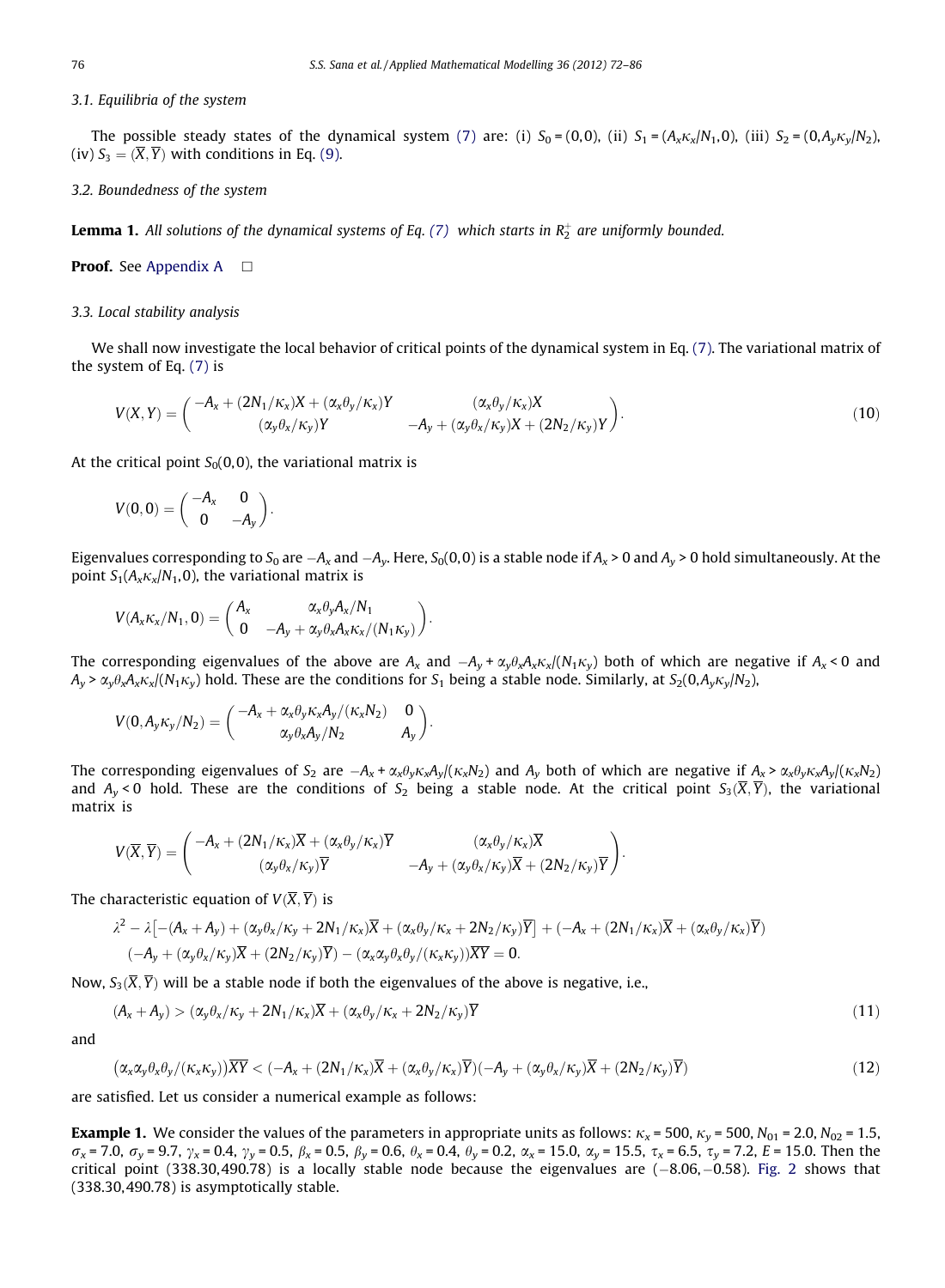## 3.1. Equilibria of the system

The possible steady states of the dynamical system [\(7\)](#page-2-0) are: (i)  $S_0 = (0,0)$ , (ii)  $S_1 = (A_x \kappa_x / N_1, 0)$ , (iii)  $S_2 = (0, A_y \kappa_y / N_2)$ , (iv)  $S_3 = (\overline{X}, \overline{Y})$  with conditions in Eq. [\(9\)](#page-3-0).

## 3.2. Boundedness of the system

**Lemma 1.** All solutions of the dynamical systems of Eq. [\(7\)](#page-2-0) which starts in  $R_2^+$  are uniformly bounded.

**Proof.** See Appendix  $A \Box$ 

#### 3.3. Local stability analysis

We shall now investigate the local behavior of critical points of the dynamical system in Eq. [\(7\)](#page-2-0). The variational matrix of the system of Eq. [\(7\)](#page-2-0) is

$$
V(X,Y) = \begin{pmatrix} -A_x + (2N_1/\kappa_x)X + (\alpha_x \theta_y/\kappa_x)Y & (\alpha_x \theta_y/\kappa_x)X \\ (\alpha_y \theta_x/\kappa_y)Y & -A_y + (\alpha_y \theta_x/\kappa_y)X + (2N_2/\kappa_y)Y \end{pmatrix}.
$$
 (10)

At the critical point  $S<sub>0</sub>(0, 0)$ , the variational matrix is

$$
V(0,0)=\begin{pmatrix}-A_x & 0\\ 0 & -A_y\end{pmatrix}.
$$

Eigenvalues corresponding to S<sub>0</sub> are  $-A_x$  and  $-A_y$ . Here, S<sub>0</sub>(0,0) is a stable node if  $A_x$  > 0 and  $A_y$  > 0 hold simultaneously. At the point  $S_1(A_x\kappa_x/N_1, 0)$ , the variational matrix is

:

:

$$
V(A_x \kappa_x / N_1, 0) = \begin{pmatrix} A_x & \alpha_x \theta_y A_x / N_1 \\ 0 & -A_y + \alpha_y \theta_x A_x \kappa_x / (N_1 \kappa_y) \end{pmatrix}
$$

The corresponding eigenvalues of the above are  $A_x$  and  $-A_y + \alpha_y \theta_x A_x \kappa_x/(N_1 \kappa_y)$  both of which are negative if  $A_x < 0$  and  $A_y > \alpha_y \beta_x A_x K_x/(N_1 K_y)$  hold. These are the conditions for  $S_1$  being a stable node. Similarly, at  $S_2(0, A_y K_y/N_2)$ ,

$$
V(0, A_yK_y/N_2) = \begin{pmatrix} -A_x + \alpha_x \theta_y K_x A_y / (K_x N_2) & 0 \\ \alpha_y \theta_x A_y / N_2 & A_y \end{pmatrix}
$$

The corresponding eigenvalues of S<sub>2</sub> are  $-A_x + \alpha_x \theta_y K_x A_y/(K_x N_2)$  and  $A_y$  both of which are negative if  $A_x > \alpha_x \theta_y K_x A_y/(K_x N_2)$ and  $A_y < 0$  hold. These are the conditions of  $S_2$  being a stable node. At the critical point  $S_3(\overline{X}, \overline{Y})$ , the variational matrix is

$$
V(\overline{X},\overline{Y})=\begin{pmatrix}-A_x+(2N_1/\kappa_x)\overline{X}+(\alpha_x\theta_y/\kappa_x)\overline{Y} & (\alpha_x\theta_y/\kappa_x)\overline{X} \\ (\alpha_y\theta_x/\kappa_y)\overline{Y} & -A_y+(\alpha_y\theta_x/\kappa_y)\overline{X}+(2N_2/\kappa_y)\overline{Y}\end{pmatrix}.
$$

The characteristic equation of  $V(\overline{X}, \overline{Y})$  is

$$
\lambda^2 - \lambda \big[ -(A_x + A_y) + (\alpha_y \theta_x/\kappa_y + 2N_1/\kappa_x) \overline{X} + (\alpha_x \theta_y/\kappa_x + 2N_2/\kappa_y) \overline{Y} \big] + (-A_x + (2N_1/\kappa_x) \overline{X} + (\alpha_x \theta_y/\kappa_x) \overline{Y})
$$
  

$$
(-A_y + (\alpha_y \theta_x/\kappa_y) \overline{X} + (2N_2/\kappa_y) \overline{Y}) - (\alpha_x \alpha_y \theta_x \theta_y/(\kappa_x \kappa_y)) \overline{XY} = 0.
$$

Now,  $S_3(\overline{X}, \overline{Y})$  will be a stable node if both the eigenvalues of the above is negative, i.e.,

$$
(A_x + A_y) > (\alpha_y \theta_x / \kappa_y + 2N_1 / \kappa_x) \overline{X} + (\alpha_x \theta_y / \kappa_x + 2N_2 / \kappa_y) \overline{Y}
$$
\n(11)

and

$$
(\alpha_x \alpha_y \theta_x \theta_y / (\kappa_x \kappa_y))\overline{XY} < (-A_x + (2N_1/\kappa_x)\overline{X} + (\alpha_x \theta_y / \kappa_x)\overline{Y})(-A_y + (\alpha_y \theta_x / \kappa_y)\overline{X} + (2N_2/\kappa_y)\overline{Y})
$$
\n(12)

are satisfied. Let us consider a numerical example as follows:

**Example 1.** We consider the values of the parameters in appropriate units as follows:  $\kappa_x$  = 500,  $\kappa_y$  = 500, N<sub>01</sub> = 2.0, N<sub>02</sub> = 1.5,  $\sigma_x$  = 7.0,  $\sigma_y$  = 9.7,  $\gamma_x$  = 0.4,  $\gamma_y$  = 0.5,  $\beta_x$  = 0.5,  $\beta_y$  = 0.6,  $\theta_x$  = 0.4,  $\theta_y$  = 0.2,  $\alpha_x$  = 15.0,  $\alpha_y$  = 15.5,  $\tau_x$  = 6.5,  $\tau_y$  = 7.2, E = 15.0. Then the critical point (338.30,490.78) is a locally stable node because the eigenvalues are (-8.06,-0.58). [Fig. 2](#page-5-0) shows that (338.30,490.78) is asymptotically stable.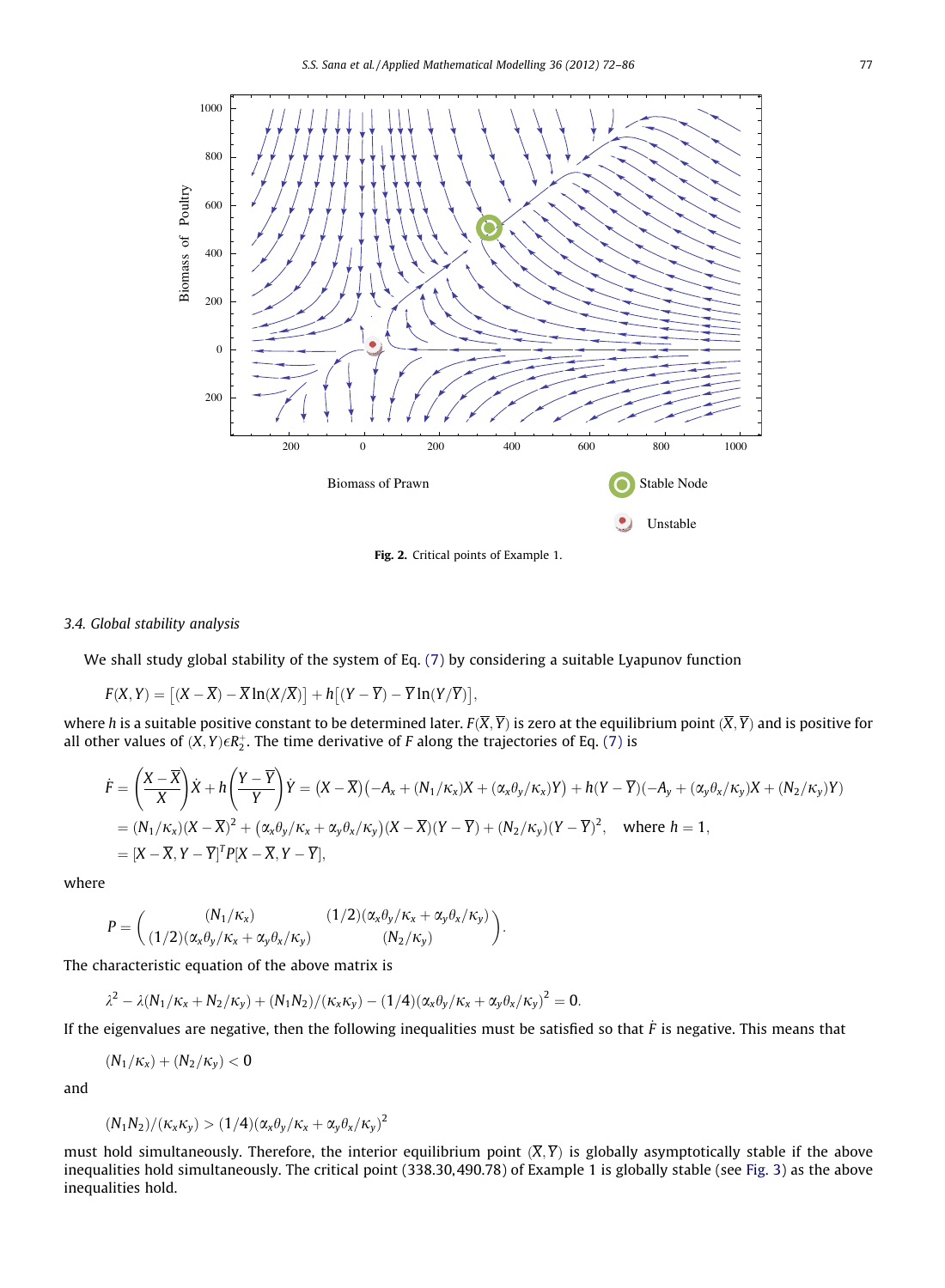<span id="page-5-0"></span>

Fig. 2. Critical points of Example 1.

## 3.4. Global stability analysis

We shall study global stability of the system of Eq. [\(7\)](#page-2-0) by considering a suitable Lyapunov function

$$
F(X,Y) = \left[ (X - \overline{X}) - \overline{X} \ln(X/\overline{X}) \right] + h \left[ (Y - \overline{Y}) - \overline{Y} \ln(Y/\overline{Y}) \right],
$$

where h is a suitable positive constant to be determined later.  $F(\overline{X}, \overline{Y})$  is zero at the equilibrium point  $(\overline{X}, \overline{Y})$  and is positive for all other values of  $(X, Y) \in R_2^+$ . The time derivative of F along the trajectories of Eq. [\(7\)](#page-2-0) is

$$
\dot{F} = \left(\frac{X - \overline{X}}{X}\right)\dot{X} + h\left(\frac{Y - \overline{Y}}{Y}\right)\dot{Y} = (X - \overline{X})(-A_x + (N_1/\kappa_x)X + (\alpha_x\theta_y/\kappa_x)Y) + h(Y - \overline{Y})(-A_y + (\alpha_y\theta_x/\kappa_y)X + (N_2/\kappa_y)Y)
$$
  
=  $(N_1/\kappa_x)(X - \overline{X})^2 + (\alpha_x\theta_y/\kappa_x + \alpha_y\theta_x/\kappa_y)(X - \overline{X})(Y - \overline{Y}) + (N_2/\kappa_y)(Y - \overline{Y})^2$ , where  $h = 1$ ,  
=  $[X - \overline{X}, Y - \overline{Y}]^T P[X - \overline{X}, Y - \overline{Y}],$ 

where

$$
P = \begin{pmatrix} (N_1/\kappa_x) & (1/2)(\alpha_x \theta_y/\kappa_x + \alpha_y \theta_x/\kappa_y) \\ (1/2)(\alpha_x \theta_y/\kappa_x + \alpha_y \theta_x/\kappa_y) & (N_2/\kappa_y) \end{pmatrix}.
$$

The characteristic equation of the above matrix is

$$
\lambda^2 - \lambda (N_1/\kappa_x + N_2/\kappa_y) + (N_1N_2)/(\kappa_x \kappa_y) - (1/4)(\alpha_x \theta_y/\kappa_x + \alpha_y \theta_x/\kappa_y)^2 = 0.
$$

If the eigenvalues are negative, then the following inequalities must be satisfied so that  $\ddot F$  is negative. This means that

$$
(N_1/\kappa_x)+(N_2/\kappa_y)<0
$$

and

$$
(N_1N_2)/(\kappa_x\kappa_y)>(1/4)(\alpha_x\theta_y/\kappa_x+\alpha_y\theta_x/\kappa_y)^2
$$

must hold simultaneously. Therefore, the interior equilibrium point  $(\overline{X}, \overline{Y})$  is globally asymptotically stable if the above inequalities hold simultaneously. The critical point (338.30,490.78) of Example 1 is globally stable (see [Fig. 3](#page-6-0)) as the above inequalities hold.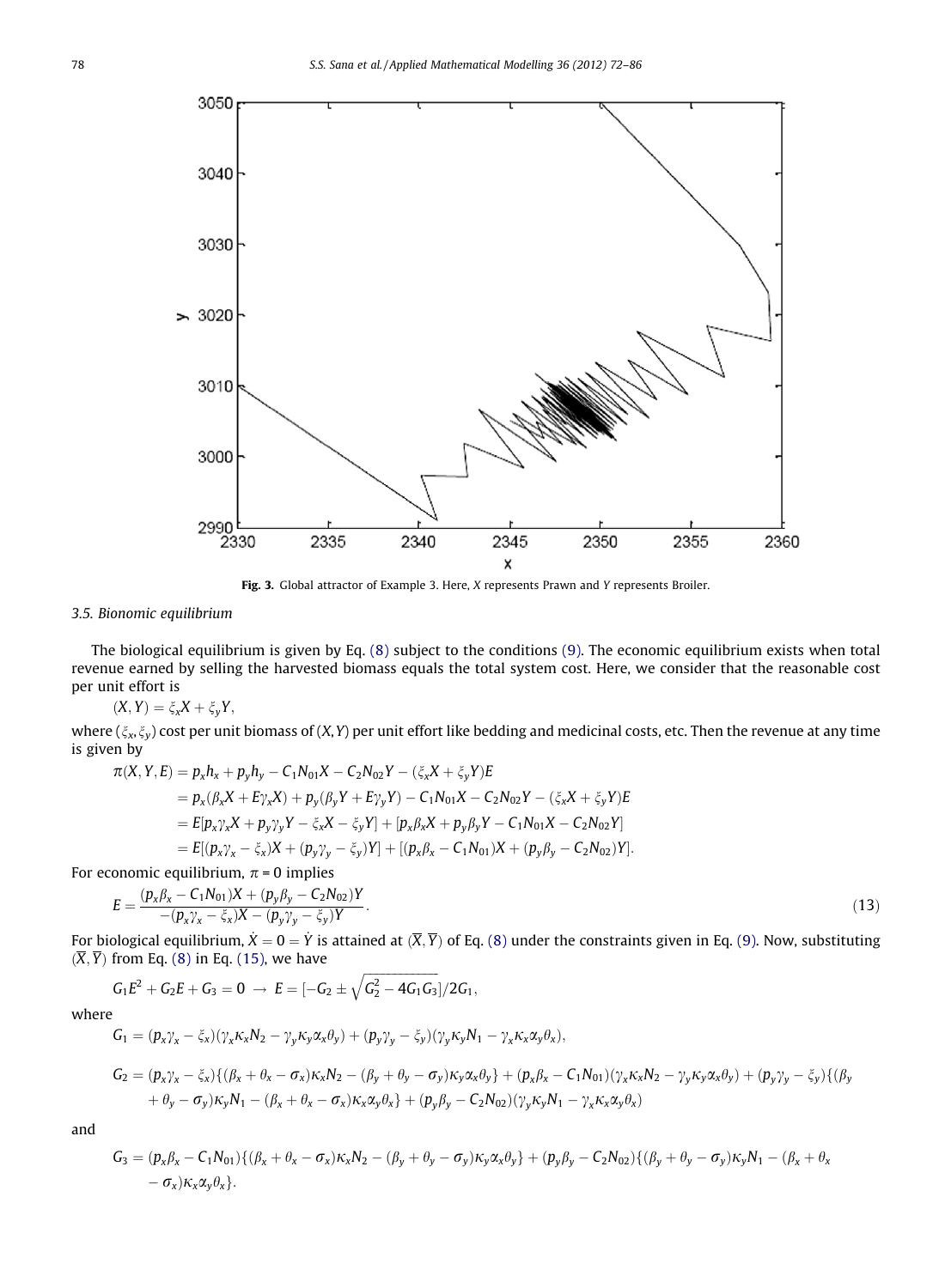<span id="page-6-0"></span>

Fig. 3. Global attractor of Example 3. Here, X represents Prawn and Y represents Broiler.

## 3.5. Bionomic equilibrium

The biological equilibrium is given by Eq. [\(8\)](#page-2-0) subject to the conditions [\(9\).](#page-3-0) The economic equilibrium exists when total revenue earned by selling the harvested biomass equals the total system cost. Here, we consider that the reasonable cost per unit effort is

$$
(X,Y)=\xi_xX+\xi_yY,
$$

where ( $\xi_x, \xi_y$ ) cost per unit biomass of (X,Y) per unit effort like bedding and medicinal costs, etc. Then the revenue at any time is given by

$$
\pi(X, Y, E) = p_x h_x + p_y h_y - C_1 N_{01} X - C_2 N_{02} Y - (\xi_x X + \xi_y Y) E
$$
  
=  $p_x (\beta_x X + E \gamma_x X) + p_y (\beta_y Y + E \gamma_y Y) - C_1 N_{01} X - C_2 N_{02} Y - (\xi_x X + \xi_y Y) E$   
=  $E[p_x \gamma_x X + p_y \gamma_y Y - \xi_x X - \xi_y Y] + [p_x \beta_x X + p_y \beta_y Y - C_1 N_{01} X - C_2 N_{02} Y]$   
=  $E[(p_x \gamma_x - \xi_x) X + (p_y \gamma_y - \xi_y) Y] + [(p_x \beta_x - C_1 N_{01}) X + (p_y \beta_y - C_2 N_{02}) Y].$ 

For economic equilibrium,  $\pi$  = 0 implies

$$
E = \frac{(p_x \beta_x - C_1 N_{01})X + (p_y \beta_y - C_2 N_{02})Y}{-(p_x \gamma_x - \zeta_x)X - (p_y \gamma_y - \zeta_y)Y}.
$$
\n(13)

For biological equilibrium,  $\dot{X} = 0 = \dot{Y}$  is attained at  $(\overline{X}, \overline{Y})$  of Eq. [\(8\)](#page-2-0) under the constraints given in Eq. [\(9\).](#page-3-0) Now, substituting  $(\overline{X}, \overline{Y})$  from Eq. [\(8\)](#page-2-0) in Eq. [\(15\)](#page-7-0), we have

$$
G_1 E^2 + G_2 E + G_3 = 0 \ \to \ E = [-G_2 \pm \sqrt{G_2^2 - 4 G_1 G_3}]/2 G_1,
$$

where

$$
G_1 = (p_x \gamma_x - \xi_x)(\gamma_x \kappa_x N_2 - \gamma_y \kappa_y \alpha_x \theta_y) + (p_y \gamma_y - \xi_y)(\gamma_y \kappa_y N_1 - \gamma_x \kappa_x \alpha_y \theta_x),
$$
  

$$
G_2 = (p_x \gamma_x - \xi_x)(\beta_x + \theta_y - \sigma_x) \kappa_x N_2 - (\beta_x + \theta_y - \sigma_x) \kappa_x N_3 + (p_x \beta_y - \sigma_x) \kappa_x N_4 + (p_y \beta_y - \sigma_x) \kappa_x N_5 + (p_y \gamma_y - \sigma_x) \kappa_x N_6 + (p_y \gamma_y - \sigma_x) \kappa_x N_7 + (p_y \gamma_y - \sigma_x) \kappa_x N_8 + (p_y \gamma_y - \sigma_x) \kappa_x N_9 + (p_y \gamma_y - \sigma_x) \kappa_x N_9 + (p_y \gamma_y - \sigma_x) \kappa_x N_9 + (p_y \gamma_y - \sigma_x) \kappa_x N_9 + (p_y \gamma_y - \sigma_x) \kappa_x N_9 + (p_y \gamma_y - \sigma_x) \kappa_x N_9 + (p_y \gamma_y - \sigma_x) \kappa_x N_9 + (p_y \gamma_y - \sigma_x) \kappa_x N_9 + (p_y \gamma_y - \sigma_x) \kappa_x N_9 + (p_y \gamma_y - \sigma_x) \kappa_x N_9 + (p_y \gamma_y - \sigma_x) \kappa_x N_9 + (p_y \gamma_y - \sigma_x) \kappa_x N_9 + (p_y \gamma_y - \sigma_x) \kappa_x N_9 + (p_y \gamma_y - \sigma_x) \kappa_x N_9 + (p_y \gamma_y - \sigma_x) \kappa_x N_9 + (p_y \gamma_y - \sigma_x) \kappa_x N_9 + (p_y \gamma_y - \sigma_x) \kappa_x N_9 + (p_y \gamma_y - \sigma_x) \kappa_x N_9 + (p_y \gamma_y - \sigma_x) \kappa_x N_9 + (p_y \gamma_y - \sigma_x) \kappa_x N_9 + (p_y \gamma_y - \sigma_x) \kappa_x N_9 + (p_x \gamma_y - \sigma_x) \kappa_x N_9 + (p_y \gamma_y - \sigma_x) \kappa_x N_9 + (p_x \gamma_y - \sigma_x) \kappa_x N_9 + (p_x \gamma_y - \sigma_x) \kappa_x N_9 + (p_x \gamma_y - \sigma_x) \kappa_x N_9 + (p_x \gamma_y - \sigma_x) \kappa_x N_9 + (p_x \gamma_y - \sigma
$$

$$
G_2 = (p_x\gamma_x - \xi_x)\{(\beta_x + \theta_x - \sigma_x)\kappa_x N_2 - (\beta_y + \theta_y - \sigma_y)\kappa_y \alpha_x \theta_y\} + (p_x\beta_x - C_1N_{01})(\gamma_x\kappa_x N_2 - \gamma_y\kappa_y \alpha_x \theta_y) + (p_y\gamma_y - \xi_y)\{(\beta_y + \theta_y - \sigma_y)\kappa_y N_1 - (\beta_x + \theta_x - \sigma_x)\kappa_x \alpha_y \theta_x\} + (p_y\beta_y - C_2N_{02})(\gamma_y\kappa_y N_1 - \gamma_x\kappa_x \alpha_y \theta_x)
$$

and

$$
G_3 = (p_x \beta_x - C_1 N_{01}) \{ (\beta_x + \theta_x - \sigma_x) \kappa_x N_2 - (\beta_y + \theta_y - \sigma_y) \kappa_y \alpha_x \theta_y \} + (p_y \beta_y - C_2 N_{02}) \{ (\beta_y + \theta_y - \sigma_y) \kappa_y N_1 - (\beta_x + \theta_x - \sigma_x) \kappa_x N_2 \}.
$$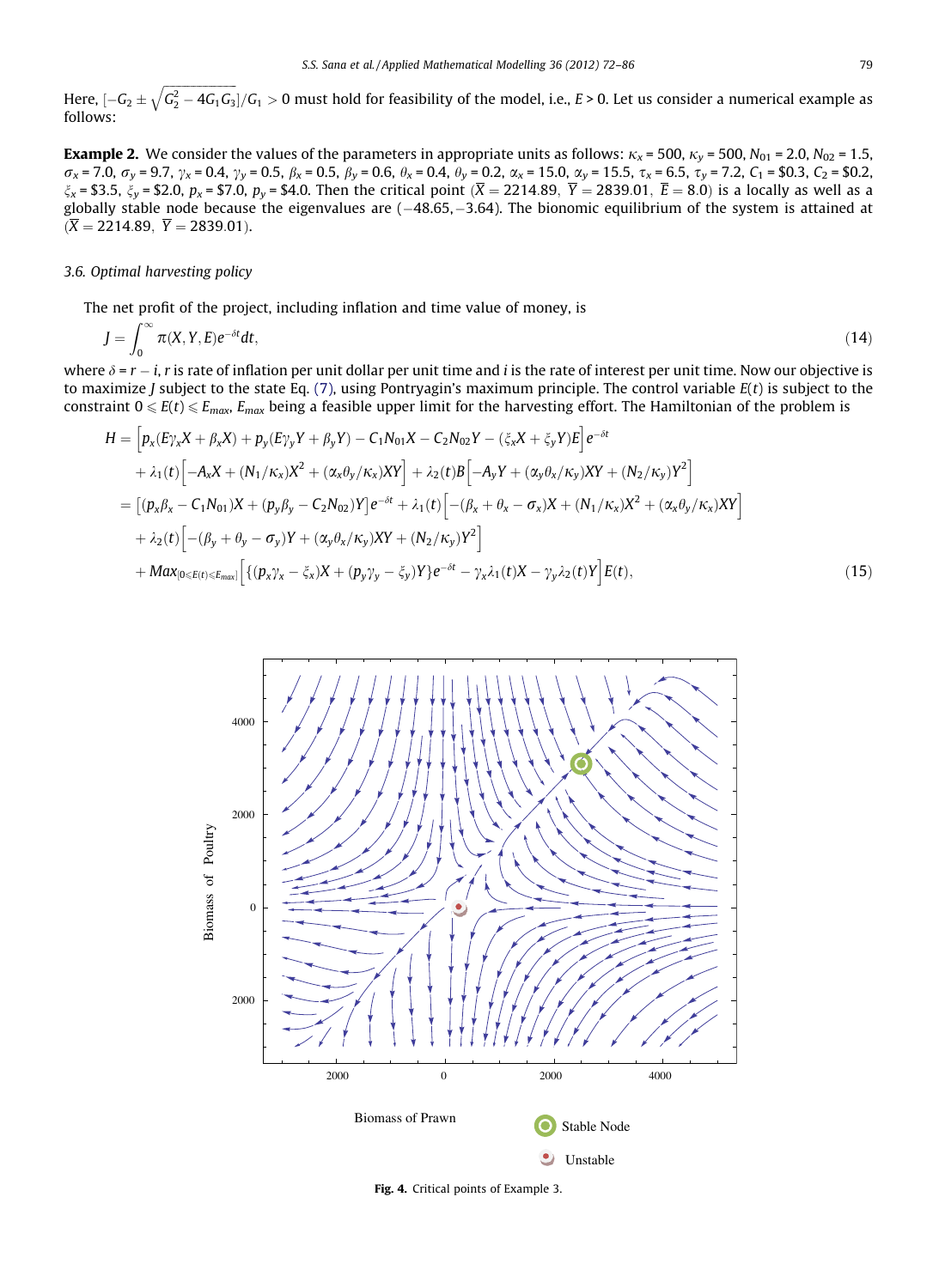<span id="page-7-0"></span>Here,  $[-G_2\pm\sqrt{G_2^2-4G_1G_3}]/G_1>0$  must hold for feasibility of the model, i.e.,  $E$  > 0. Let us consider a numerical example as follows:

**Example 2.** We consider the values of the parameters in appropriate units as follows:  $\kappa_x = 500$ ,  $\kappa_y = 500$ ,  $N_{01} = 2.0$ ,  $N_{02} = 1.5$ ,  $\sigma_x$  = 7.0,  $\sigma_y$  = 9.7,  $\gamma_x$  = 0.4,  $\gamma_y$  = 0.5,  $\beta_x$  = 0.5,  $\beta_y$  = 0.6,  $\theta_x$  = 0.4,  $\theta_y$  = 0.2,  $\alpha_x$  = 15.0,  $\alpha_y$  = 15.5,  $\tau_x$  = 6.5,  $\tau_y$  = 7.2,  $C_1$  = \$0.3,  $C_2$  = \$0.2,  $\xi_x$  = \$3.5,  $\xi_y$  = \$2.0,  $p_x$  = \$7.0,  $p_y$  = \$4.0. Then the critical point  $(\overline{X} = 2214.89, \overline{Y} = 2839.01, \overline{E} = 8.0)$  is a locally as well as a globally stable node because the eigenvalues are (–48.65,–3.64). The bionomic equilibrium of the system is attained at  $(\overline{X} = 2214.89, \overline{Y} = 2839.01).$ 

## 3.6. Optimal harvesting policy

The net profit of the project, including inflation and time value of money, is

$$
J = \int_0^\infty \pi(X, Y, E)e^{-\delta t}dt,\tag{14}
$$

where  $\delta$  = r – i, r is rate of inflation per unit dollar per unit time and i is the rate of interest per unit time. Now our objective is to maximize J subject to the state Eq. [\(7\),](#page-2-0) using Pontryagin's maximum principle. The control variable  $E(t)$  is subject to the constraint  $0 \le E(t) \le E_{max}$ ,  $E_{max}$  being a feasible upper limit for the harvesting effort. The Hamiltonian of the problem is

$$
H = \left[ p_x(E\gamma_x X + \beta_x X) + p_y(E\gamma_y Y + \beta_y Y) - C_1 N_{01} X - C_2 N_{02} Y - (\xi_x X + \xi_y Y) E \right] e^{-\delta t} + \lambda_1(t) \left[ -A_x X + (N_1/\kappa_x) X^2 + (\alpha_x \theta_y/\kappa_x) XY \right] + \lambda_2(t) B \left[ -A_y Y + (\alpha_y \theta_x/\kappa_y) XY + (N_2/\kappa_y) Y^2 \right] = \left[ (p_x \beta_x - C_1 N_{01}) X + (p_y \beta_y - C_2 N_{02}) Y \right] e^{-\delta t} + \lambda_1(t) \left[ -( \beta_x + \theta_x - \sigma_x) X + (N_1/\kappa_x) X^2 + (\alpha_x \theta_y/\kappa_x) XY \right] + \lambda_2(t) \left[ -( \beta_y + \theta_y - \sigma_y) Y + (\alpha_y \theta_x/\kappa_y) XY + (N_2/\kappa_y) Y^2 \right] + \text{Max}_{[0 \leq E(t) \leq E_{max}]} \left[ \left\{ (p_x \gamma_x - \xi_x) X + (p_y \gamma_y - \xi_y) Y \right\} e^{-\delta t} - \gamma_x \lambda_1(t) X - \gamma_y \lambda_2(t) Y \right] E(t), \tag{15}
$$



Fig. 4. Critical points of Example 3.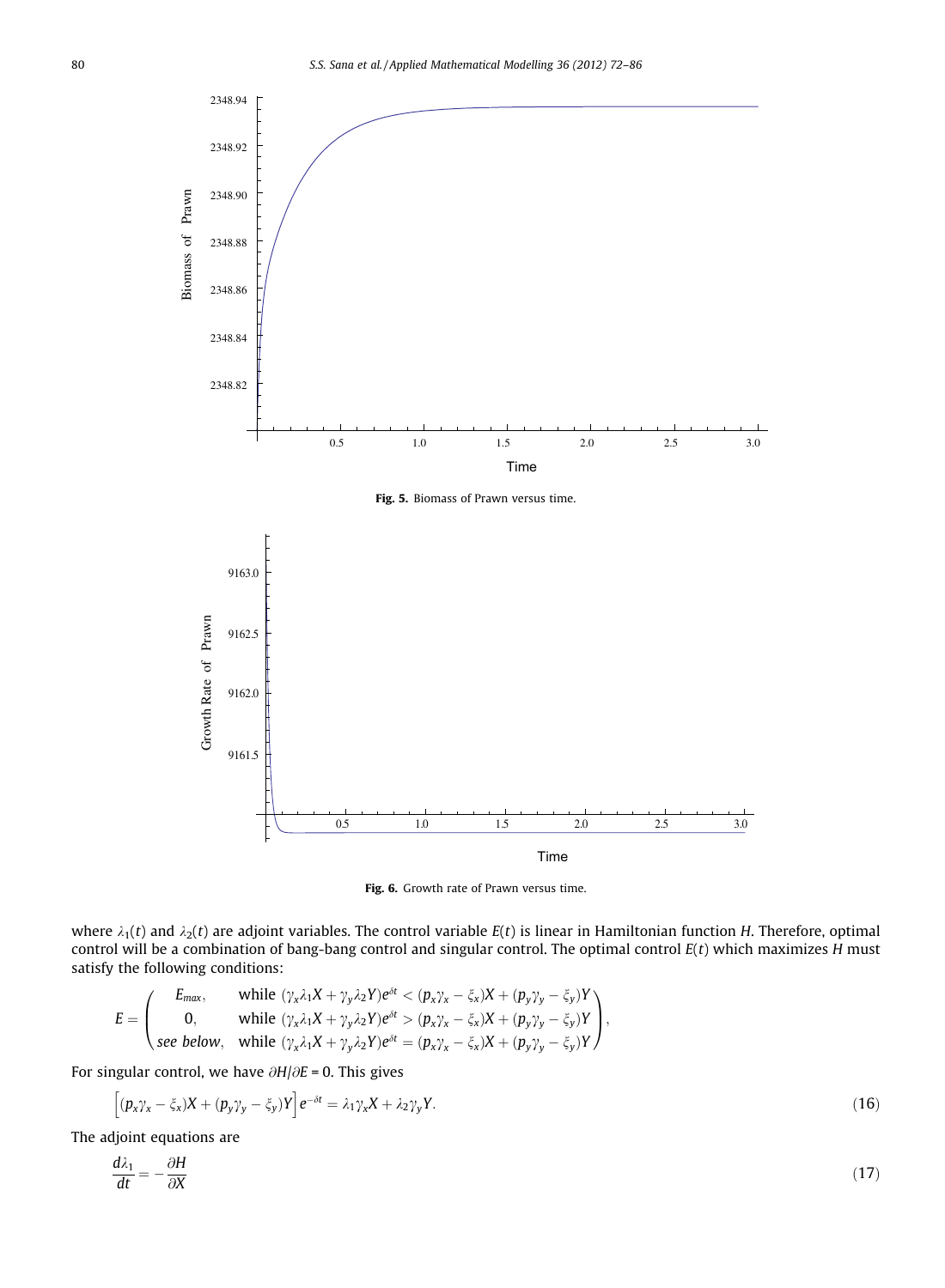<span id="page-8-0"></span>

Fig. 6. Growth rate of Prawn versus time.

where  $\lambda_1(t)$  and  $\lambda_2(t)$  are adjoint variables. The control variable  $E(t)$  is linear in Hamiltonian function H. Therefore, optimal control will be a combination of bang-bang control and singular control. The optimal control  $E(t)$  which maximizes H must satisfy the following conditions:

$$
E = \begin{pmatrix} E_{max}, & \text{while } (\gamma_x \lambda_1 X + \gamma_y \lambda_2 Y) e^{\delta t} < (p_x \gamma_x - \xi_x) X + (p_y \gamma_y - \xi_y) Y \\ 0, & \text{while } (\gamma_x \lambda_1 X + \gamma_y \lambda_2 Y) e^{\delta t} > (p_x \gamma_x - \xi_x) X + (p_y \gamma_y - \xi_y) Y \\ \text{see below,} & \text{while } (\gamma_x \lambda_1 X + \gamma_y \lambda_2 Y) e^{\delta t} = (p_x \gamma_x - \xi_x) X + (p_y \gamma_y - \xi_y) Y \end{pmatrix},
$$

For singular control, we have  $\partial H/\partial E = 0$ . This gives

$$
\left[ (p_x \gamma_x - \xi_x) X + (p_y \gamma_y - \xi_y) Y \right] e^{-\delta t} = \lambda_1 \gamma_x X + \lambda_2 \gamma_y Y. \tag{16}
$$

The adjoint equations are

$$
\frac{d\lambda_1}{dt} = -\frac{\partial H}{\partial X} \tag{17}
$$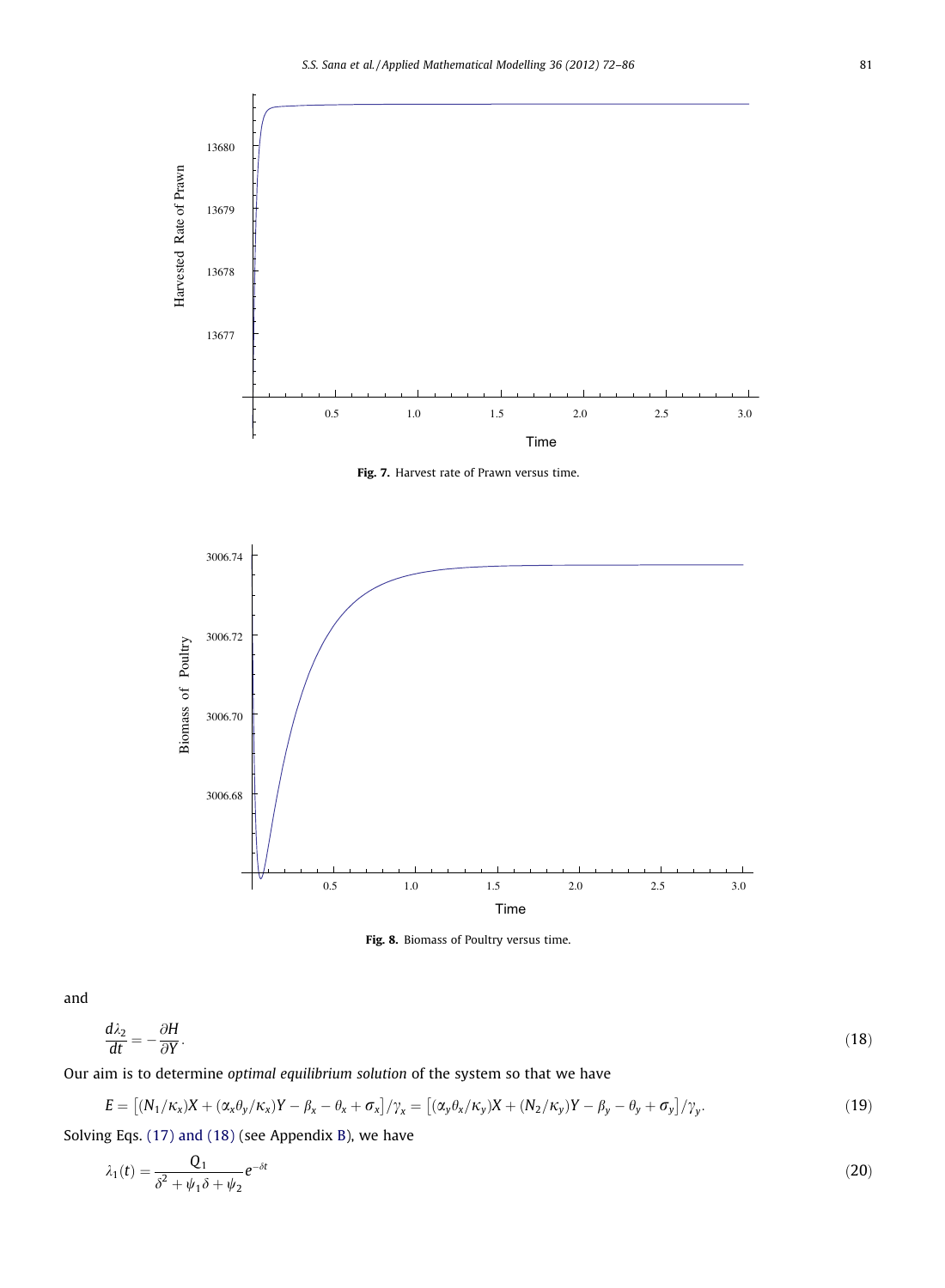<span id="page-9-0"></span>

Fig. 7. Harvest rate of Prawn versus time.



Fig. 8. Biomass of Poultry versus time.

$$
\frac{d\lambda_2}{dt} = -\frac{\partial H}{\partial Y}.\tag{18}
$$

Our aim is to determine optimal equilibrium solution of the system so that we have

$$
E = \left[ (N_1/\kappa_x)X + (\alpha_x \theta_y/\kappa_x)Y - \beta_x - \theta_x + \sigma_x \right] / \gamma_x = \left[ (\alpha_y \theta_x/\kappa_y)X + (N_2/\kappa_y)Y - \beta_y - \theta_y + \sigma_y \right] / \gamma_y.
$$
\n(19)

Solving Eqs. [\(17\) and \(18\)](#page-8-0) (see Appendix B), we have

$$
\lambda_1(t) = \frac{Q_1}{\delta^2 + \psi_1 \delta + \psi_2} e^{-\delta t} \tag{20}
$$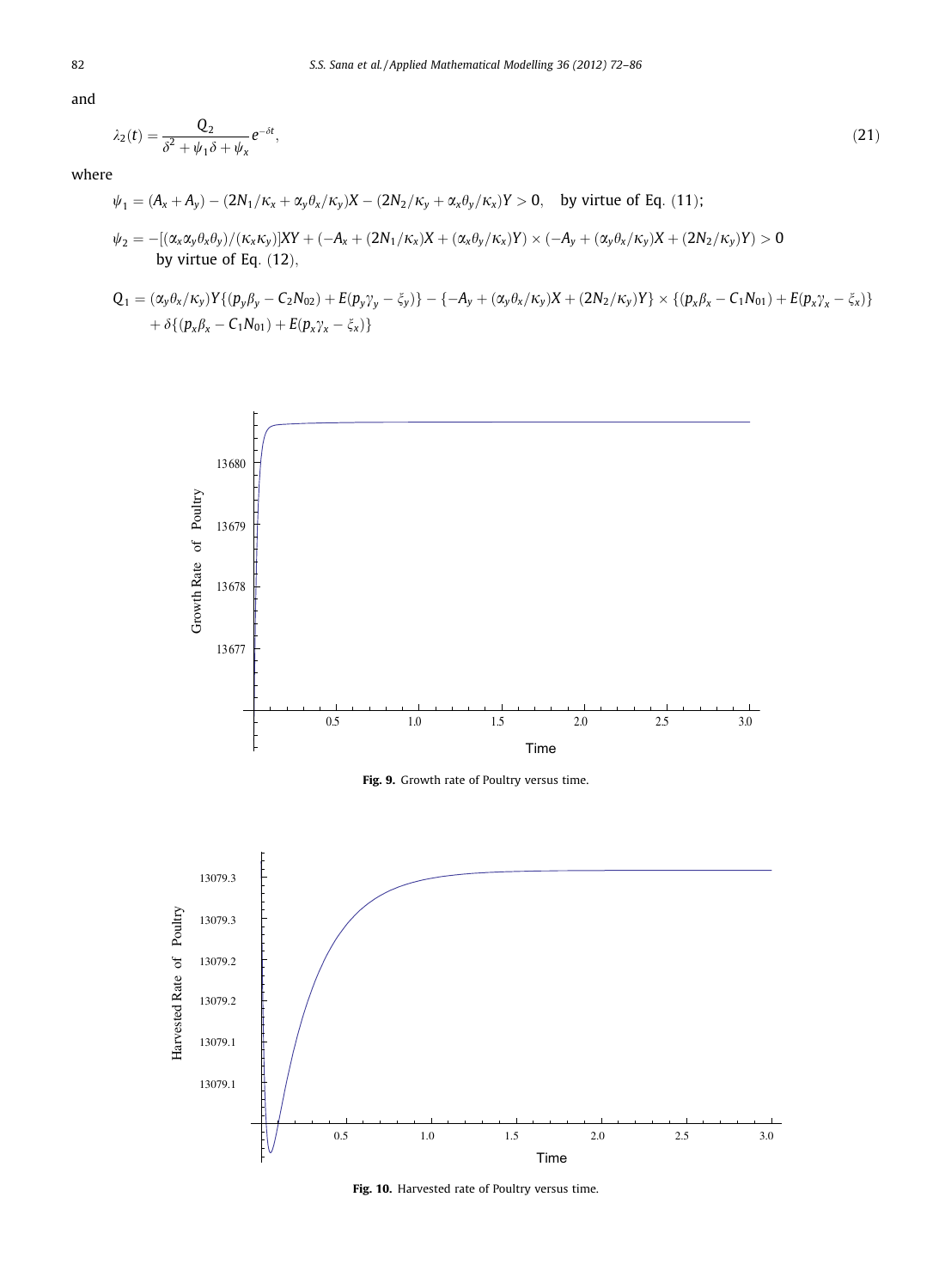<span id="page-10-0"></span>
$$
\lambda_2(t) = \frac{Q_2}{\delta^2 + \psi_1 \delta + \psi_x} e^{-\delta t},\tag{21}
$$

where

$$
\psi_1=(A_x+A_y)-(2N_1/\kappa_x+\alpha_y\theta_x/\kappa_y)X-(2N_2/\kappa_y+\alpha_x\theta_y/\kappa_x)Y>0, \text{ by virtue of Eq. (11);}
$$

- $\psi_2 = -[(\alpha_x\alpha_y\theta_x\theta_y)/(\kappa_x\kappa_y)]XY + (-A_x + (2N_1/\kappa_x)X + (\alpha_x\theta_y/\kappa_x)Y) \times (-A_y + (\alpha_y\theta_x/\kappa_y)X + (2N_2/\kappa_y)Y) > 0$ by virtue of Eq.  $(12)$ ,
- $Q_1 = (\alpha_y \theta_x/\kappa_y) Y \{ (p_y \beta_y C_2 N_{02}) + E(p_y \gamma_y \xi_y) \} \{-A_y + (\alpha_y \theta_x/\kappa_y) X + (2N_2/\kappa_y) Y \} \times \{ (p_x \beta_x C_1 N_{01}) + E(p_x \gamma_x \xi_x) \}$  $+ \delta \{ (p_x \beta_x - C_1 N_{01}) + E (p_x \gamma_x - \xi_x) \}$



Fig. 9. Growth rate of Poultry versus time.



Fig. 10. Harvested rate of Poultry versus time.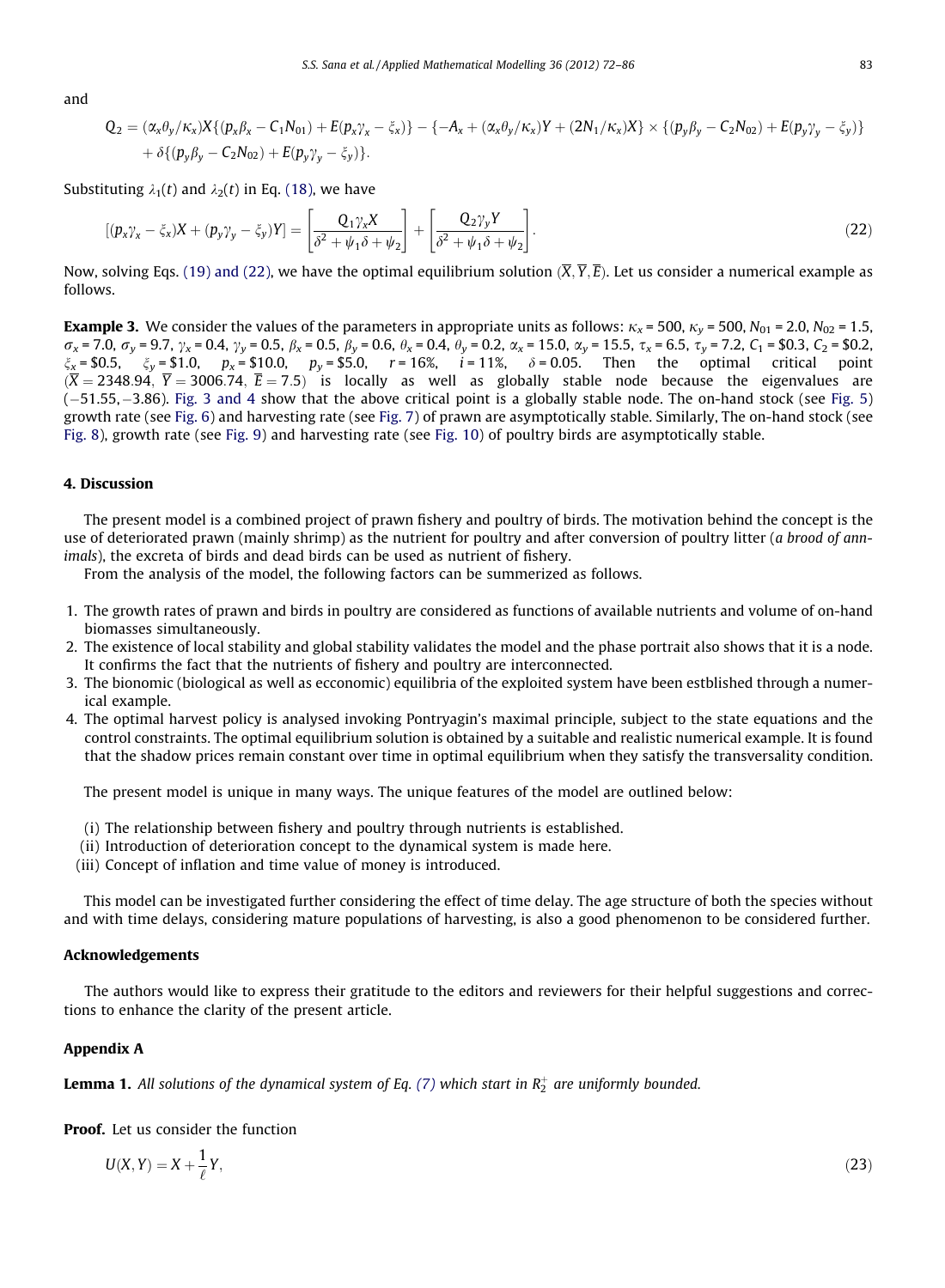<span id="page-11-0"></span>
$$
Q_2 = (\alpha_x \theta_y / \kappa_x) X \{ (p_x \beta_x - C_1 N_{01}) + E(p_x \gamma_x - \xi_x) \} - \{-A_x + (\alpha_x \theta_y / \kappa_x) Y + (2N_1 / \kappa_x) X \} \times \{ (p_y \beta_y - C_2 N_{02}) + E(p_y \gamma_y - \xi_y) \} + \delta \{ (p_y \beta_y - C_2 N_{02}) + E(p_y \gamma_y - \xi_y) \}.
$$

Substituting  $\lambda_1(t)$  and  $\lambda_2(t)$  in Eq. [\(18\)](#page-9-0), we have

$$
[(p_x\gamma_x - \xi_x)X + (p_y\gamma_y - \xi_y)Y] = \left[\frac{Q_1\gamma_x X}{\delta^2 + \psi_1 \delta + \psi_2}\right] + \left[\frac{Q_2\gamma_y Y}{\delta^2 + \psi_1 \delta + \psi_2}\right].
$$
\n(22)

Now, solving Eqs. [\(19\) and \(22\),](#page-9-0) we have the optimal equilibrium solution  $(\overline{X}, \overline{Y}, \overline{E})$ . Let us consider a numerical example as follows.

**Example 3.** We consider the values of the parameters in appropriate units as follows:  $\kappa_x$  = 500,  $\kappa_y$  = 500, N<sub>01</sub> = 2.0, N<sub>02</sub> = 1.5,  $\sigma_x$  = 7.0,  $\sigma_y$  = 9.7,  $\gamma_x$  = 0.4,  $\gamma_y$  = 0.5,  $\beta_x$  = 0.5,  $\beta_y$  = 0.6,  $\theta_x$  = 0.4,  $\theta_y$  = 0.2,  $\alpha_x$  = 15.0,  $\alpha_y$  = 15.5,  $\tau_x$  = 6.5,  $\tau_y$  = 7.2,  $C_1$  = \$0.3,  $C_2$  = \$0.2,  $\xi_x = $0.5$ ,  $\xi_y = $1.0$ ,  $p_x = $10.0$ ,  $p_y = $5.0$ ,  $r = 16\%$ ,  $i = 11\%$ ,  $\delta = 0.05$ . Then the optimal critical point  $\overline{(X} = 2348.94, \overline{Y} = 3006.74, \overline{E} = 7.5)$  is locally as well as globally stable node because the eigenvalues are (-51.55,-3.86). [Fig. 3 and 4](#page-6-0) show that the above critical point is a globally stable node. The on-hand stock (see [Fig. 5](#page-8-0)) growth rate (see [Fig. 6\)](#page-8-0) and harvesting rate (see [Fig. 7\)](#page-9-0) of prawn are asymptotically stable. Similarly, The on-hand stock (see [Fig. 8](#page-9-0)), growth rate (see [Fig. 9\)](#page-10-0) and harvesting rate (see [Fig. 10\)](#page-10-0) of poultry birds are asymptotically stable.

## 4. Discussion

The present model is a combined project of prawn fishery and poultry of birds. The motivation behind the concept is the use of deteriorated prawn (mainly shrimp) as the nutrient for poultry and after conversion of poultry litter (a brood of annimals), the excreta of birds and dead birds can be used as nutrient of fishery.

From the analysis of the model, the following factors can be summerized as follows.

- 1. The growth rates of prawn and birds in poultry are considered as functions of available nutrients and volume of on-hand biomasses simultaneously.
- 2. The existence of local stability and global stability validates the model and the phase portrait also shows that it is a node. It confirms the fact that the nutrients of fishery and poultry are interconnected.
- 3. The bionomic (biological as well as ecconomic) equilibria of the exploited system have been estblished through a numerical example.
- 4. The optimal harvest policy is analysed invoking Pontryagin's maximal principle, subject to the state equations and the control constraints. The optimal equilibrium solution is obtained by a suitable and realistic numerical example. It is found that the shadow prices remain constant over time in optimal equilibrium when they satisfy the transversality condition.

The present model is unique in many ways. The unique features of the model are outlined below:

- (i) The relationship between fishery and poultry through nutrients is established.
- (ii) Introduction of deterioration concept to the dynamical system is made here.
- (iii) Concept of inflation and time value of money is introduced.

This model can be investigated further considering the effect of time delay. The age structure of both the species without and with time delays, considering mature populations of harvesting, is also a good phenomenon to be considered further.

## Acknowledgements

The authors would like to express their gratitude to the editors and reviewers for their helpful suggestions and corrections to enhance the clarity of the present article.

## Appendix A

**Lemma 1.** All solutions of the dynamical system of Eq. [\(7\)](#page-2-0) which start in  $R_2^+$  are uniformly bounded.

Proof. Let us consider the function

$$
U(X,Y) = X + \frac{1}{\ell}Y,\tag{23}
$$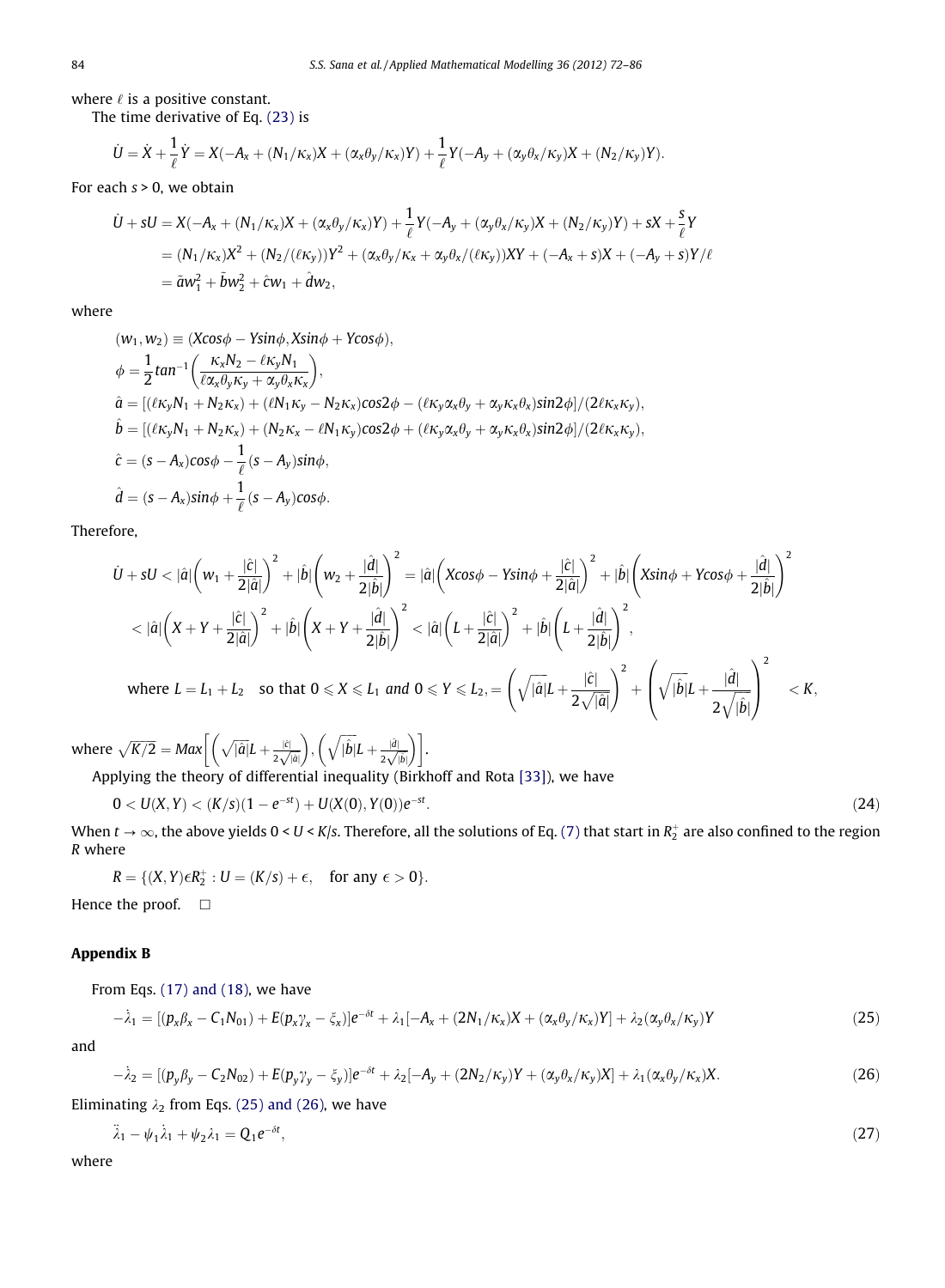<span id="page-12-0"></span>where  $\ell$  is a positive constant.

The time derivative of Eq. [\(23\)](#page-11-0) is

$$
\dot{U} = \dot{X} + \frac{1}{\ell} \dot{Y} = X(-A_x + (N_1/\kappa_x)X + (\alpha_x \theta_y/\kappa_x)Y) + \frac{1}{\ell}Y(-A_y + (\alpha_y \theta_x/\kappa_y)X + (N_2/\kappa_y)Y).
$$

For each  $s > 0$ , we obtain

$$
\dot{U} + sU = X(-A_x + (N_1/\kappa_x)X + (\alpha_x \theta_y/\kappa_x)Y) + \frac{1}{\ell}Y(-A_y + (\alpha_y \theta_x/\kappa_y)X + (N_2/\kappa_y)Y) + sX + \frac{s}{\ell}Y
$$
  
=  $(N_1/\kappa_x)X^2 + (N_2/(\ell\kappa_y))Y^2 + (\alpha_x \theta_y/\kappa_x + \alpha_y \theta_x/(\ell\kappa_y))XY + (-A_x + s)X + (-A_y + s)Y/\ell$   
=  $\tilde{a}w_1^2 + \tilde{b}w_2^2 + \hat{c}w_1 + \hat{d}w_2$ ,

where

$$
\begin{aligned}\n(\mathbf{w}_1, \mathbf{w}_2) &\equiv (X\cos\phi - Y\sin\phi, X\sin\phi + Y\cos\phi), \\
\phi &= \frac{1}{2}\tan^{-1}\left(\frac{\kappa_x N_2 - \ell\kappa_y N_1}{\ell\alpha_x \theta_y \kappa_y + \alpha_y \theta_x \kappa_x}\right), \\
\hat{a} &= [(\ell\kappa_y N_1 + N_2 \kappa_x) + (\ell N_1 \kappa_y - N_2 \kappa_x) \cos 2\phi - (\ell\kappa_y \alpha_x \theta_y + \alpha_y \kappa_x \theta_x) \sin 2\phi]/(2\ell\kappa_x \kappa_y), \\
\hat{b} &= [(\ell\kappa_y N_1 + N_2 \kappa_x) + (N_2 \kappa_x - \ell N_1 \kappa_y) \cos 2\phi + (\ell\kappa_y \alpha_x \theta_y + \alpha_y \kappa_x \theta_x) \sin 2\phi]/(2\ell\kappa_x \kappa_y), \\
\hat{c} &= (s - A_x) \cos\phi - \frac{1}{\ell} (s - A_y) \sin\phi, \\
\hat{d} &= (s - A_x) \sin\phi + \frac{1}{\ell} (s - A_y) \cos\phi.\n\end{aligned}
$$

Therefore,

$$
\begin{aligned}\n\dot{U} + sU &< |\hat{a}|\left(w_1 + \frac{|\hat{c}|}{2|\hat{a}|}\right)^2 + |\hat{b}|\left(w_2 + \frac{|\hat{d}|}{2|\hat{b}|}\right)^2 = |\hat{a}|\left(X\cos\phi - Y\sin\phi + \frac{|\hat{c}|}{2|\hat{a}|}\right)^2 + |\hat{b}|\left(X\sin\phi + Y\cos\phi + \frac{|\hat{d}|}{2|\hat{b}|}\right)^2 \\
&< |\hat{a}|\left(X + Y + \frac{|\hat{c}|}{2|\hat{a}|}\right)^2 + |\hat{b}|\left(X + Y + \frac{|\hat{d}|}{2|\hat{b}|}\right)^2 &< |\hat{a}|\left(L + \frac{|\hat{c}|}{2|\hat{a}|}\right)^2 + |\hat{b}|\left(L + \frac{|\hat{d}|}{2|\hat{b}|}\right)^2, \\
\text{where } L = L_1 + L_2 \quad \text{so that } 0 \le X \le L_1 \text{ and } 0 \le Y \le L_2 = \left(\sqrt{|\hat{a}|}L + \frac{|\hat{c}|}{2\sqrt{|\hat{a}|}}\right)^2 + \left(\sqrt{|\hat{b}|}L + \frac{|\hat{d}|}{2\sqrt{|\hat{b}|}}\right)^2 &< K,\n\end{aligned}
$$

.

where  $\sqrt{K/2} = Max \left[ \left( \sqrt{|\hat{a}|} L + \frac{|\hat{c}|}{2\sqrt{|\hat{a}|}} \right) \right]$  $\sqrt{2}$ ;  $\overline{a}$  $|\hat{\bm{b}}|$  $\sqrt{|\hat{b}|}L + \frac{|\hat{d}|}{\sqrt{2}}$  $\frac{|d|}{2\sqrt{|\hat{b}|}}$  $\begin{bmatrix} 1 & 1 \\ 1 & 1 \end{bmatrix}$ 

Applying the theory of differential inequality (Birkhoff and Rota [\[33\]\)](#page-14-0), we have

$$
0 < U(X,Y) < (K/s)(1-e^{-st}) + U(X(0),Y(0))e^{-st}.
$$
\n(24)

When  $t\to\infty$ , the above yields 0 < U < K/s. Therefore, all the solutions of Eq. [\(7\)](#page-2-0) that start in  $R_2^+$  are also confined to the region R where

$$
R = \{(X,Y)\epsilon R_2^+: U = (K/s) + \epsilon, \text{ for any } \epsilon > 0\}.
$$

Hence the proof.  $\Box$ 

## Appendix B

-

From Eqs. [\(17\) and \(18\)](#page-8-0), we have

$$
-\dot{\lambda}_1 = [(p_x \beta_x - C_1 N_{01}) + E(p_x \gamma_x - \xi_x)]e^{-\delta t} + \lambda_1[-A_x + (2N_1/\kappa_x)X + (\alpha_x \theta_y/\kappa_x)Y] + \lambda_2(\alpha_y \theta_x/\kappa_y)Y
$$
(25)

and

$$
\dot{\lambda}_2 = [ (p_y \beta_y - C_2 N_{02}) + E (p_y \gamma_y - \zeta_y)] e^{-\delta t} + \lambda_2 [-A_y + (2N_2/\kappa_y)Y + (\alpha_y \theta_x/\kappa_y)X] + \lambda_1 (\alpha_x \theta_y/\kappa_x)X. \tag{26}
$$

Eliminating  $\lambda_2$  from Eqs. (25) and (26), we have

$$
\ddot{\lambda}_1 - \psi_1 \dot{\lambda}_1 + \psi_2 \lambda_1 = Q_1 e^{-\delta t},\tag{27}
$$

where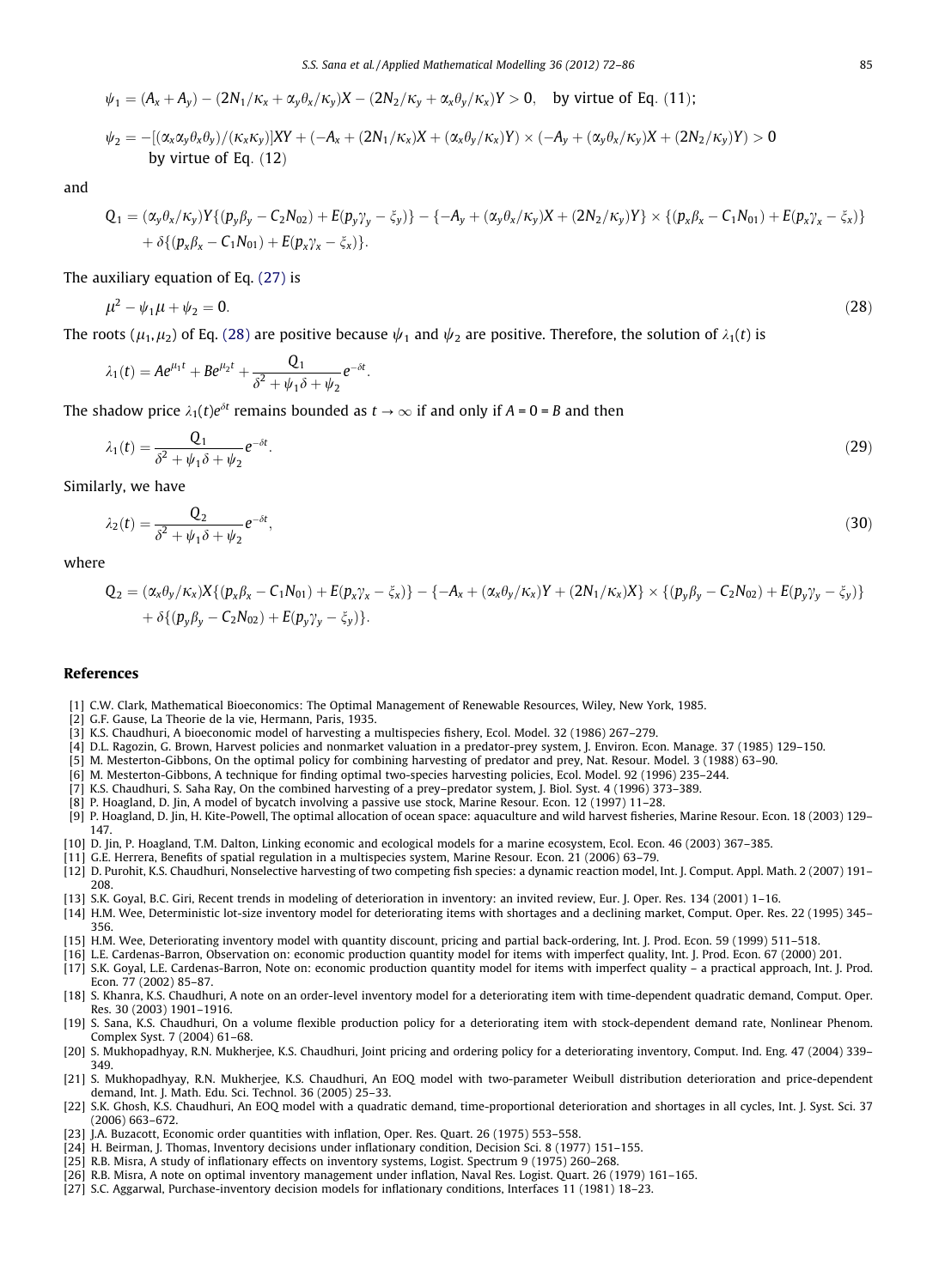<span id="page-13-0"></span>
$$
\psi_1=(A_x+A_y)-(2N_1/\kappa_x+\alpha_y\theta_x/\kappa_y)X-(2N_2/\kappa_y+\alpha_x\theta_y/\kappa_x)Y>0, \quad \text{by virtue of Eq. (11);}
$$

$$
\psi_2 = -[(\alpha_x \alpha_y \theta_x \theta_y) / (\kappa_x \kappa_y)]XY + (-A_x + (2N_1/\kappa_x)X + (\alpha_x \theta_y/\kappa_x)Y) \times (-A_y + (\alpha_y \theta_x/\kappa_y)X + (2N_2/\kappa_y)Y) > 0
$$
  
by virtue of Eq. (12)

$$
Q_1 = (\alpha_y \theta_x/\kappa_y) Y \{ (p_y \beta_y - C_2 N_{02}) + E(p_y \gamma_y - \xi_y) \} - \{-A_y + (\alpha_y \theta_x/\kappa_y) X + (2N_2/\kappa_y) Y \} \times \{ (p_x \beta_x - C_1 N_{01}) + E(p_x \gamma_x - \xi_x) \} + \delta \{ (p_x \beta_x - C_1 N_{01}) + E(p_x \gamma_x - \xi_x) \}.
$$

The auxiliary equation of Eq. [\(27\)](#page-12-0) is

$$
\mu^2 - \psi_1 \mu + \psi_2 = 0. \tag{28}
$$

The roots ( $\mu_1, \mu_2$ ) of Eq. (28) are positive because  $\psi_1$  and  $\psi_2$  are positive. Therefore, the solution of  $\lambda_1(t)$  is

$$
\lambda_1(t) = Ae^{\mu_1 t} + Be^{\mu_2 t} + \frac{Q_1}{\delta^2 + \psi_1 \delta + \psi_2} e^{-\delta t}.
$$

The shadow price  $\lambda_1(t)e^{\delta t}$  remains bounded as  $t \to \infty$  if and only if  $A = 0 = B$  and then

$$
\lambda_1(t) = \frac{Q_1}{\delta^2 + \psi_1 \delta + \psi_2} e^{-\delta t}.\tag{29}
$$

Similarly, we have

$$
\lambda_2(t) = \frac{Q_2}{\delta^2 + \psi_1 \delta + \psi_2} e^{-\delta t},\tag{30}
$$

where

$$
Q_2 = (\alpha_x \theta_y / \kappa_x) X \{ (p_x \beta_x - C_1 N_{01}) + E(p_x \gamma_x - \xi_x) \} - \{-A_x + (\alpha_x \theta_y / \kappa_x) Y + (2N_1 / \kappa_x) X \} \times \{ (p_y \beta_y - C_2 N_{02}) + E(p_y \gamma_y - \xi_y) \} + \delta \{ (p_y \beta_y - C_2 N_{02}) + E(p_y \gamma_y - \xi_y) \}.
$$

#### References

- [1] C.W. Clark, Mathematical Bioeconomics: The Optimal Management of Renewable Resources, Wiley, New York, 1985.
- [2] G.F. Gause, La Theorie de la vie, Hermann, Paris, 1935.
- [3] K.S. Chaudhuri, A bioeconomic model of harvesting a multispecies fishery, Ecol. Model. 32 (1986) 267–279.
- [4] D.L. Ragozin, G. Brown, Harvest policies and nonmarket valuation in a predator-prey system, J. Environ. Econ. Manage. 37 (1985) 129–150.
- [5] M. Mesterton-Gibbons, On the optimal policy for combining harvesting of predator and prey, Nat. Resour. Model. 3 (1988) 63–90.
- [6] M. Mesterton-Gibbons, A technique for finding optimal two-species harvesting policies, Ecol. Model. 92 (1996) 235–244.
- [7] K.S. Chaudhuri, S. Saha Ray, On the combined harvesting of a prey–predator system, J. Biol. Syst. 4 (1996) 373–389.
- [8] P. Hoagland, D. Jin, A model of bycatch involving a passive use stock, Marine Resour. Econ. 12 (1997) 11–28.
- [9] P. Hoagland, D. Jin, H. Kite-Powell, The optimal allocation of ocean space: aquaculture and wild harvest fisheries, Marine Resour. Econ. 18 (2003) 129– 147.
- [10] D. Jin, P. Hoagland, T.M. Dalton, Linking economic and ecological models for a marine ecosystem, Ecol. Econ. 46 (2003) 367–385.
- [11] G.E. Herrera, Benefits of spatial regulation in a multispecies system, Marine Resour. Econ. 21 (2006) 63–79.
- [12] D. Purohit, K.S. Chaudhuri, Nonselective harvesting of two competing fish species: a dynamic reaction model, Int. J. Comput. Appl. Math. 2 (2007) 191– 208.
- [13] S.K. Goyal, B.C. Giri, Recent trends in modeling of deterioration in inventory: an invited review, Eur. J. Oper. Res. 134 (2001) 1–16.
- [14] H.M. Wee, Deterministic lot-size inventory model for deteriorating items with shortages and a declining market, Comput. Oper. Res. 22 (1995) 345– 356.
- [15] H.M. Wee, Deteriorating inventory model with quantity discount, pricing and partial back-ordering, Int. J. Prod. Econ. 59 (1999) 511–518.
- [16] L.E. Cardenas-Barron, Observation on: economic production quantity model for items with imperfect quality, Int. J. Prod. Econ. 67 (2000) 201. [17] S.K. Goyal, L.E. Cardenas-Barron, Note on: economic production quantity model for items with imperfect quality – a practical approach, Int. J. Prod.
- Econ. 77 (2002) 85–87. [18] S. Khanra, K.S. Chaudhuri, A note on an order-level inventory model for a deteriorating item with time-dependent quadratic demand, Comput. Oper. Res. 30 (2003) 1901–1916.
- [19] S. Sana, K.S. Chaudhuri, On a volume flexible production policy for a deteriorating item with stock-dependent demand rate, Nonlinear Phenom. Complex Syst. 7 (2004) 61–68.
- [20] S. Mukhopadhyay, R.N. Mukherjee, K.S. Chaudhuri, Joint pricing and ordering policy for a deteriorating inventory, Comput. Ind. Eng. 47 (2004) 339– 349.
- [21] S. Mukhopadhyay, R.N. Mukherjee, K.S. Chaudhuri, An EOQ model with two-parameter Weibull distribution deterioration and price-dependent demand, Int. J. Math. Edu. Sci. Technol. 36 (2005) 25–33.
- [22] S.K. Ghosh, K.S. Chaudhuri, An EOQ model with a quadratic demand, time-proportional deterioration and shortages in all cycles, Int. J. Syst. Sci. 37 (2006) 663–672.
- [23] J.A. Buzacott, Economic order quantities with inflation, Oper. Res. Quart. 26 (1975) 553–558.
- [24] H. Beirman, J. Thomas, Inventory decisions under inflationary condition, Decision Sci. 8 (1977) 151–155.
- [25] R.B. Misra, A study of inflationary effects on inventory systems, Logist. Spectrum 9 (1975) 260–268.
- [26] R.B. Misra, A note on optimal inventory management under inflation, Naval Res. Logist. Quart. 26 (1979) 161–165.
- [27] S.C. Aggarwal, Purchase-inventory decision models for inflationary conditions, Interfaces 11 (1981) 18–23.